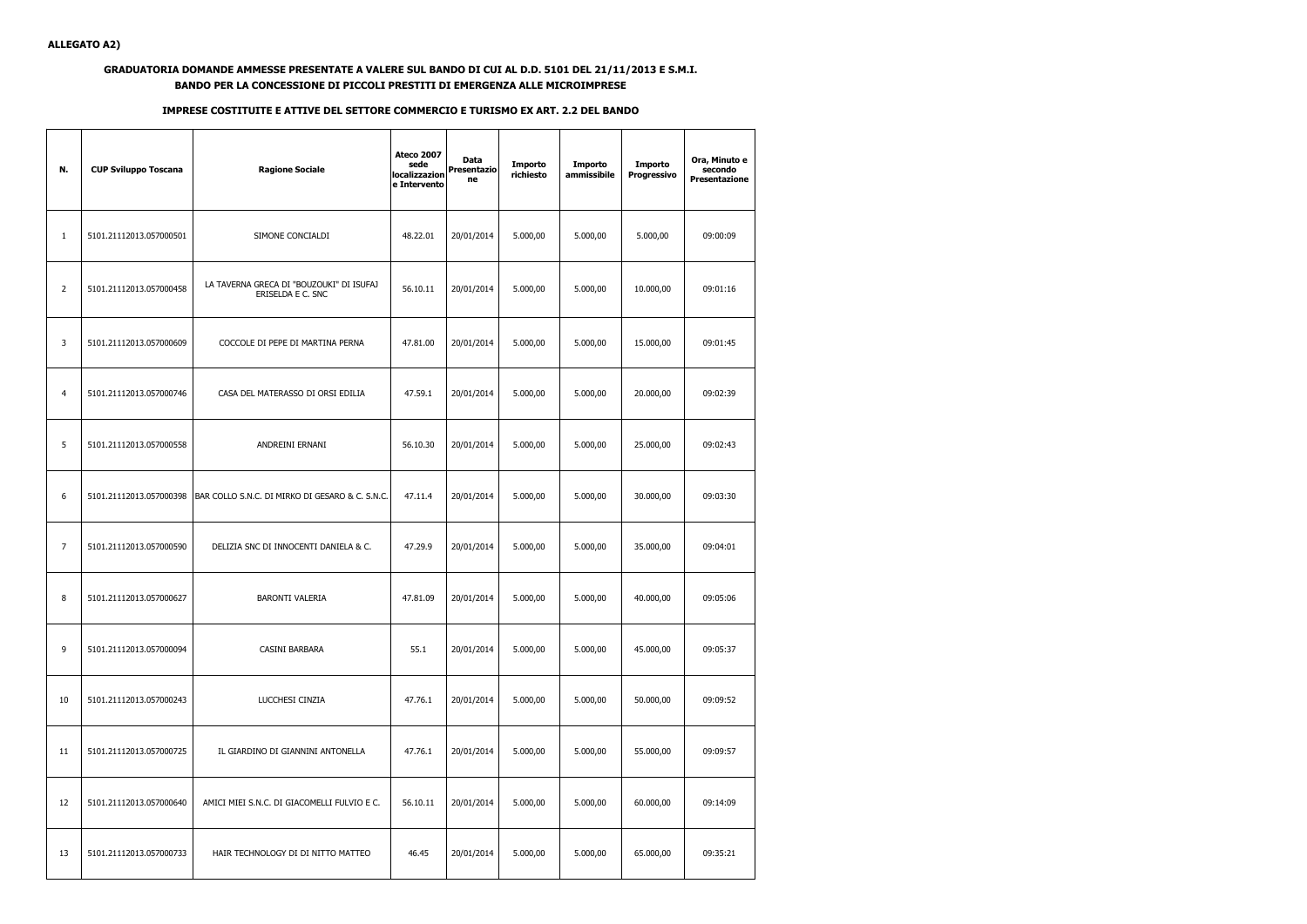## **GRADUATORIA DOMANDE AMMESSE PRESENTATE A VALERE SUL BANDO DI CUI AL D.D. 5101 DEL 21/11/2013 E S.M.I.BANDO PER LA CONCESSIONE DI PICCOLI PRESTITI DI EMERGENZA ALLE MICROIMPRESE**

## **IMPRESE COSTITUITE E ATTIVE DEL SETTORE COMMERCIO E TURISMO EX ART. 2.2 DEL BANDO**

| N.             | <b>CUP Sviluppo Toscana</b> | <b>Ragione Sociale</b>                                        | <b>Ateco 2007</b><br>sede<br><b>localizzazion</b><br>e Intervento | <b>Data</b><br>Presentazio<br>ne | Importo<br>richiesto | Importo<br>ammissibile | <b>Importo</b><br><b>Progressivo</b> | Ora, Minuto e<br>secondo<br><b>Presentazione</b> |
|----------------|-----------------------------|---------------------------------------------------------------|-------------------------------------------------------------------|----------------------------------|----------------------|------------------------|--------------------------------------|--------------------------------------------------|
| $\mathbf{1}$   | 5101.21112013.057000501     | SIMONE CONCIALDI                                              | 48.22.01                                                          | 20/01/2014                       | 5.000,00             | 5.000,00               | 5.000,00                             | 09:00:09                                         |
| 2              | 5101.21112013.057000458     | LA TAVERNA GRECA DI "BOUZOUKI" DI ISUFAJ<br>ERISELDA E C. SNC | 56.10.11                                                          | 20/01/2014                       | 5.000,00             | 5.000,00               | 10.000,00                            | 09:01:16                                         |
| 3              | 5101.21112013.057000609     | COCCOLE DI PEPE DI MARTINA PERNA                              | 47.81.00                                                          | 20/01/2014                       | 5.000,00             | 5.000,00               | 15.000,00                            | 09:01:45                                         |
| $\overline{4}$ | 5101.21112013.057000746     | CASA DEL MATERASSO DI ORSI EDILIA                             | 47.59.1                                                           | 20/01/2014                       | 5.000,00             | 5.000,00               | 20.000,00                            | 09:02:39                                         |
| 5              | 5101.21112013.057000558     | ANDREINI ERNANI                                               | 56.10.30                                                          | 20/01/2014                       | 5.000,00             | 5.000,00               | 25.000,00                            | 09:02:43                                         |
| 6              | 5101.21112013.057000398     | BAR COLLO S.N.C. DI MIRKO DI GESARO & C. S.N.C.               | 47.11.4                                                           | 20/01/2014                       | 5.000,00             | 5.000,00               | 30.000,00                            | 09:03:30                                         |
| 7              | 5101.21112013.057000590     | DELIZIA SNC DI INNOCENTI DANIELA & C.                         | 47.29.9                                                           | 20/01/2014                       | 5.000,00             | 5.000,00               | 35.000,00                            | 09:04:01                                         |
| 8              | 5101.21112013.057000627     | <b>BARONTI VALERIA</b>                                        | 47.81.09                                                          | 20/01/2014                       | 5.000,00             | 5.000,00               | 40.000,00                            | 09:05:06                                         |
| 9              | 5101.21112013.057000094     | CASINI BARBARA                                                | 55.1                                                              | 20/01/2014                       | 5.000,00             | 5.000,00               | 45.000,00                            | 09:05:37                                         |
| 10             | 5101.21112013.057000243     | LUCCHESI CINZIA                                               | 47.76.1                                                           | 20/01/2014                       | 5.000,00             | 5.000,00               | 50.000,00                            | 09:09:52                                         |
| 11             | 5101.21112013.057000725     | IL GIARDINO DI GIANNINI ANTONELLA                             | 47.76.1                                                           | 20/01/2014                       | 5.000,00             | 5.000,00               | 55.000,00                            | 09:09:57                                         |
| 12             | 5101.21112013.057000640     | AMICI MIEI S.N.C. DI GIACOMELLI FULVIO E C.                   | 56.10.11                                                          | 20/01/2014                       | 5.000,00             | 5.000,00               | 60.000,00                            | 09:14:09                                         |
| 13             | 5101.21112013.057000733     | HAIR TECHNOLOGY DI DI NITTO MATTEO                            | 46.45                                                             | 20/01/2014                       | 5.000,00             | 5.000,00               | 65.000,00                            | 09:35:21                                         |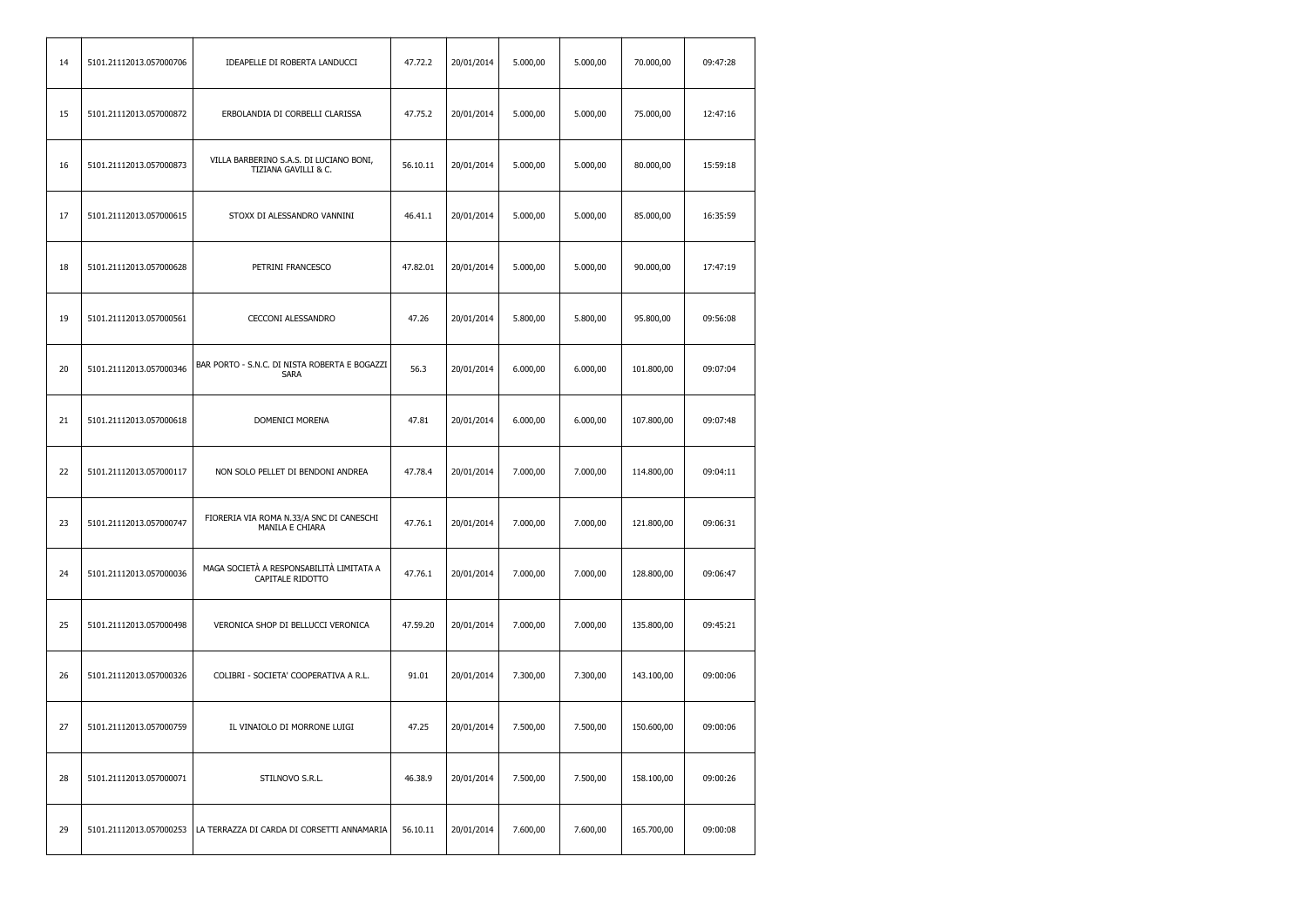| 14 | 5101.21112013.057000706 | IDEAPELLE DI ROBERTA LANDUCCI                                      | 47.72.2  | 20/01/2014 | 5.000,00 | 5.000,00 | 70.000,00  | 09:47:28 |
|----|-------------------------|--------------------------------------------------------------------|----------|------------|----------|----------|------------|----------|
| 15 | 5101.21112013.057000872 | ERBOLANDIA DI CORBELLI CLARISSA                                    | 47.75.2  | 20/01/2014 | 5.000,00 | 5.000,00 | 75.000,00  | 12:47:16 |
| 16 | 5101.21112013.057000873 | VILLA BARBERINO S.A.S. DI LUCIANO BONI,<br>TIZIANA GAVILLI & C.    | 56.10.11 | 20/01/2014 | 5.000,00 | 5.000,00 | 80.000,00  | 15:59:18 |
| 17 | 5101.21112013.057000615 | STOXX DI ALESSANDRO VANNINI                                        | 46.41.1  | 20/01/2014 | 5.000,00 | 5.000,00 | 85.000,00  | 16:35:59 |
| 18 | 5101.21112013.057000628 | PETRINI FRANCESCO                                                  | 47.82.01 | 20/01/2014 | 5.000,00 | 5.000,00 | 90.000,00  | 17:47:19 |
| 19 | 5101.21112013.057000561 | <b>CECCONI ALESSANDRO</b>                                          | 47.26    | 20/01/2014 | 5.800,00 | 5.800,00 | 95.800,00  | 09:56:08 |
| 20 | 5101.21112013.057000346 | BAR PORTO - S.N.C. DI NISTA ROBERTA E BOGAZZI<br><b>SARA</b>       | 56.3     | 20/01/2014 | 6.000,00 | 6.000,00 | 101.800,00 | 09:07:04 |
| 21 | 5101.21112013.057000618 | DOMENICI MORENA                                                    | 47.81    | 20/01/2014 | 6.000,00 | 6.000,00 | 107.800,00 | 09:07:48 |
| 22 | 5101.21112013.057000117 | NON SOLO PELLET DI BENDONI ANDREA                                  | 47.78.4  | 20/01/2014 | 7.000,00 | 7.000,00 | 114.800,00 | 09:04:11 |
| 23 | 5101.21112013.057000747 | FIORERIA VIA ROMA N.33/A SNC DI CANESCHI<br><b>MANILA E CHIARA</b> | 47.76.1  | 20/01/2014 | 7.000,00 | 7.000,00 | 121.800,00 | 09:06:31 |
| 24 | 5101.21112013.057000036 | MAGA SOCIETÀ A RESPONSABILITÀ LIMITATA A<br>CAPITALE RIDOTTO       | 47.76.1  | 20/01/2014 | 7.000,00 | 7.000,00 | 128.800,00 | 09:06:47 |
| 25 | 5101.21112013.057000498 | VERONICA SHOP DI BELLUCCI VERONICA                                 | 47.59.20 | 20/01/2014 | 7.000,00 | 7.000,00 | 135.800,00 | 09:45:21 |
| 26 | 5101.21112013.057000326 | COLIBRI - SOCIETA' COOPERATIVA A R.L.                              | 91.01    | 20/01/2014 | 7.300,00 | 7.300,00 | 143.100,00 | 09:00:06 |
| 27 | 5101.21112013.057000759 | IL VINAIOLO DI MORRONE LUIGI                                       | 47.25    | 20/01/2014 | 7.500,00 | 7.500,00 | 150.600,00 | 09:00:06 |
| 28 | 5101.21112013.057000071 | STILNOVO S.R.L.                                                    | 46.38.9  | 20/01/2014 | 7.500,00 | 7.500,00 | 158.100,00 | 09:00:26 |
| 29 | 5101.21112013.057000253 | LA TERRAZZA DI CARDA DI CORSETTI ANNAMARIA                         | 56.10.11 | 20/01/2014 | 7.600,00 | 7.600,00 | 165.700,00 | 09:00:08 |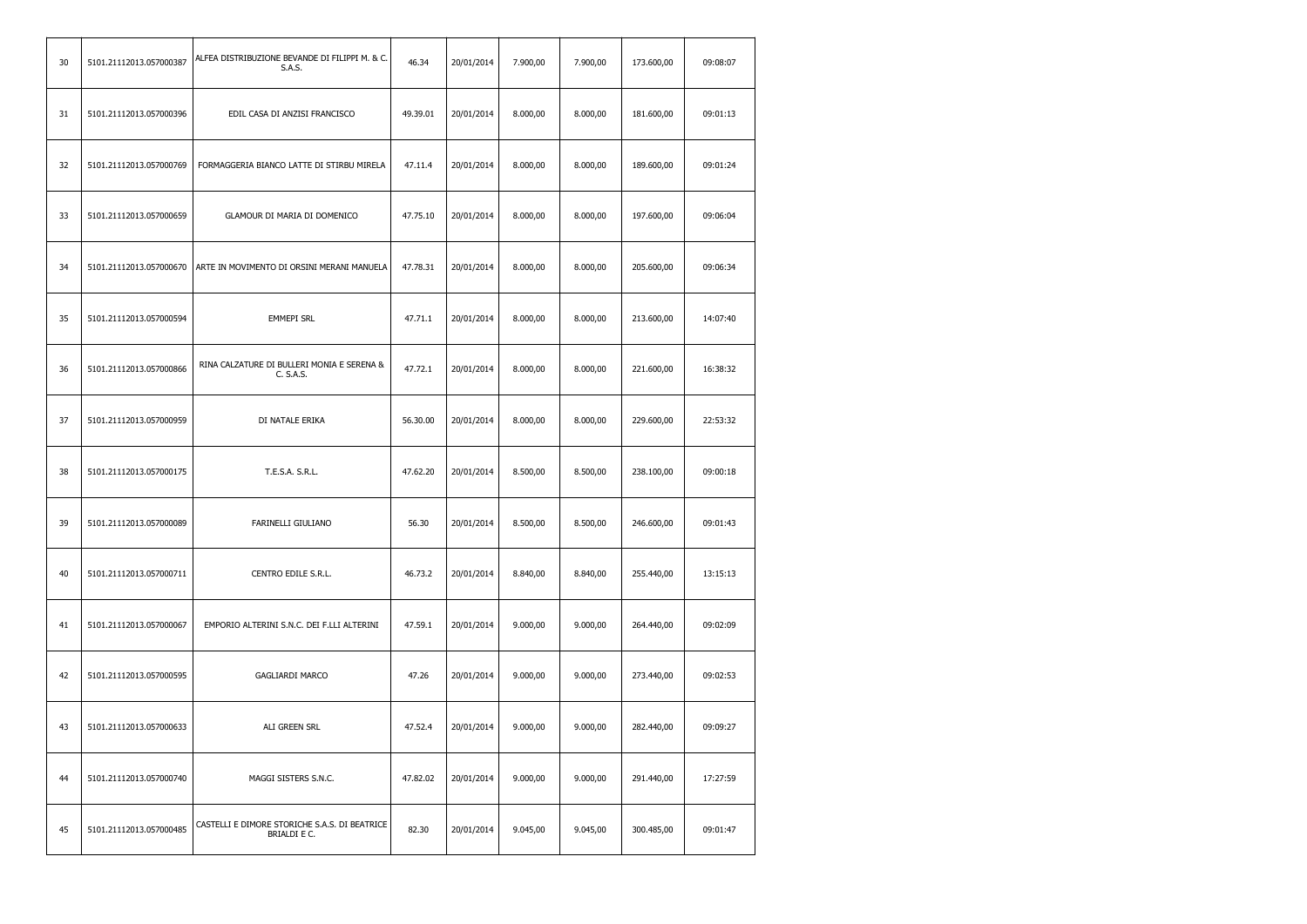| 30 | 5101.21112013.057000387 | ALFEA DISTRIBUZIONE BEVANDE DI FILIPPI M. & C.<br><b>S.A.S.</b> | 46.34    | 20/01/2014 | 7.900,00 | 7.900,00 | 173.600,00 | 09:08:07 |
|----|-------------------------|-----------------------------------------------------------------|----------|------------|----------|----------|------------|----------|
| 31 | 5101.21112013.057000396 | EDIL CASA DI ANZISI FRANCISCO                                   | 49.39.01 | 20/01/2014 | 8.000,00 | 8.000,00 | 181.600,00 | 09:01:13 |
| 32 | 5101.21112013.057000769 | FORMAGGERIA BIANCO LATTE DI STIRBU MIRELA                       | 47.11.4  | 20/01/2014 | 8.000,00 | 8.000,00 | 189.600,00 | 09:01:24 |
| 33 | 5101.21112013.057000659 | GLAMOUR DI MARIA DI DOMENICO                                    | 47.75.10 | 20/01/2014 | 8.000,00 | 8.000,00 | 197.600,00 | 09:06:04 |
| 34 | 5101.21112013.057000670 | ARTE IN MOVIMENTO DI ORSINI MERANI MANUELA                      | 47.78.31 | 20/01/2014 | 8.000,00 | 8.000,00 | 205.600,00 | 09:06:34 |
| 35 | 5101.21112013.057000594 | <b>EMMEPI SRL</b>                                               | 47.71.1  | 20/01/2014 | 8.000,00 | 8.000,00 | 213.600,00 | 14:07:40 |
| 36 | 5101.21112013.057000866 | RINA CALZATURE DI BULLERI MONIA E SERENA &<br>C. S.A.S.         | 47.72.1  | 20/01/2014 | 8.000,00 | 8.000,00 | 221.600,00 | 16:38:32 |
| 37 | 5101.21112013.057000959 | DI NATALE ERIKA                                                 | 56.30.00 | 20/01/2014 | 8.000,00 | 8.000,00 | 229.600,00 | 22:53:32 |
| 38 | 5101.21112013.057000175 | T.E.S.A. S.R.L.                                                 | 47.62.20 | 20/01/2014 | 8.500,00 | 8.500,00 | 238.100,00 | 09:00:18 |
| 39 | 5101.21112013.057000089 | FARINELLI GIULIANO                                              | 56.30    | 20/01/2014 | 8.500,00 | 8.500,00 | 246.600,00 | 09:01:43 |
| 40 | 5101.21112013.057000711 | CENTRO EDILE S.R.L.                                             | 46.73.2  | 20/01/2014 | 8.840,00 | 8.840,00 | 255.440,00 | 13:15:13 |
| 41 | 5101.21112013.057000067 | EMPORIO ALTERINI S.N.C. DEI F.LLI ALTERINI                      | 47.59.1  | 20/01/2014 | 9.000,00 | 9.000,00 | 264.440,00 | 09:02:09 |
| 42 | 5101.21112013.057000595 | GAGLIARDI MARCO                                                 | 47.26    | 20/01/2014 | 9.000,00 | 9.000,00 | 273.440,00 | 09:02:53 |
| 43 | 5101.21112013.057000633 | ALI GREEN SRL                                                   | 47.52.4  | 20/01/2014 | 9.000,00 | 9.000,00 | 282.440,00 | 09:09:27 |
| 44 | 5101.21112013.057000740 | MAGGI SISTERS S.N.C.                                            | 47.82.02 | 20/01/2014 | 9.000,00 | 9.000,00 | 291.440,00 | 17:27:59 |
| 45 | 5101.21112013.057000485 | CASTELLI E DIMORE STORICHE S.A.S. DI BEATRICE<br>BRIALDI E C.   | 82.30    | 20/01/2014 | 9.045,00 | 9.045,00 | 300.485,00 | 09:01:47 |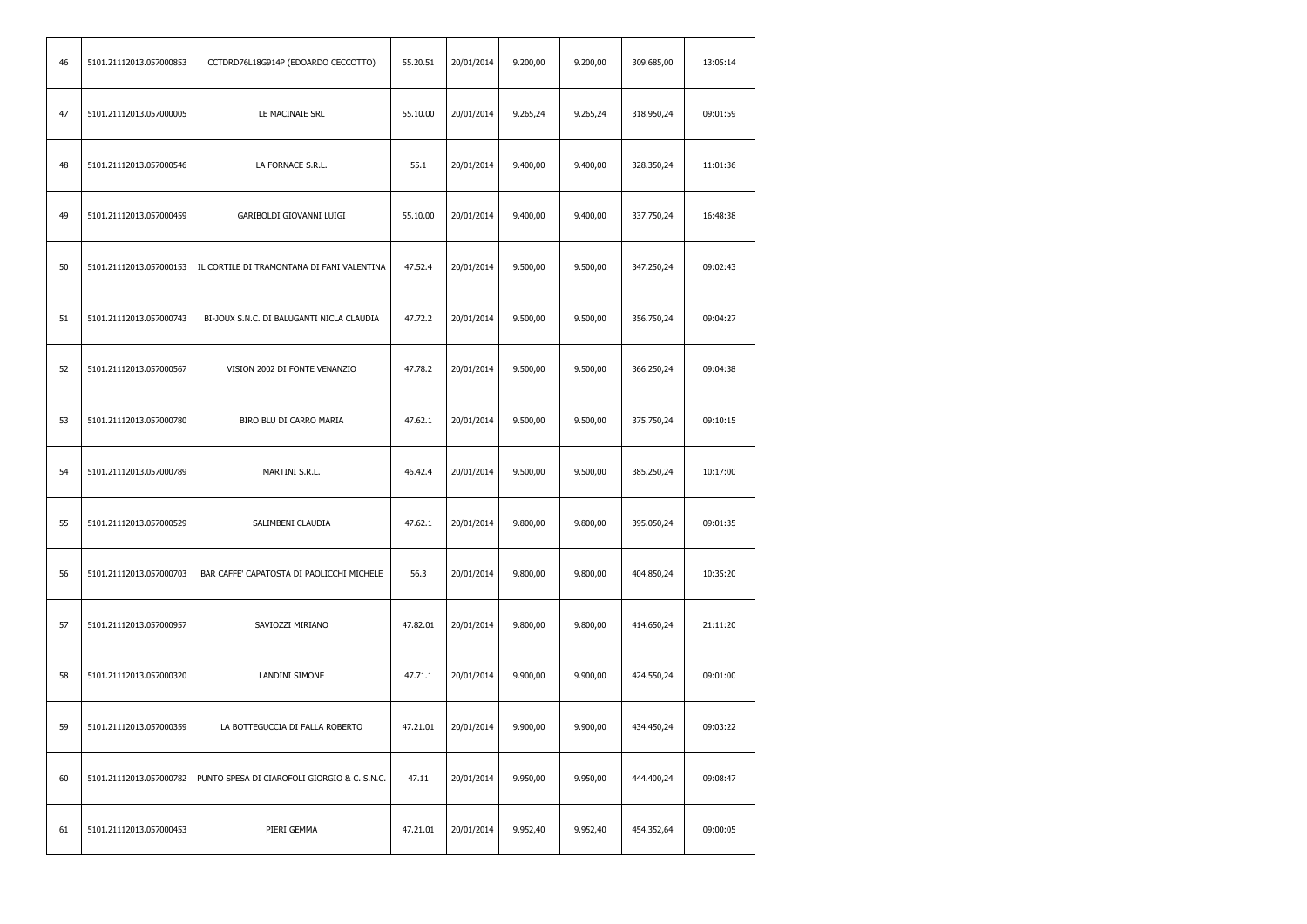| 46 | 5101.21112013.057000853 | CCTDRD76L18G914P (EDOARDO CECCOTTO)          | 55.20.51 | 20/01/2014 | 9.200,00 | 9.200,00 | 309.685,00 | 13:05:14 |
|----|-------------------------|----------------------------------------------|----------|------------|----------|----------|------------|----------|
| 47 | 5101.21112013.057000005 | LE MACINAIE SRL                              | 55.10.00 | 20/01/2014 | 9.265,24 | 9.265,24 | 318.950,24 | 09:01:59 |
| 48 | 5101.21112013.057000546 | LA FORNACE S.R.L.                            | 55.1     | 20/01/2014 | 9.400,00 | 9.400,00 | 328.350,24 | 11:01:36 |
| 49 | 5101.21112013.057000459 | GARIBOLDI GIOVANNI LUIGI                     | 55.10.00 | 20/01/2014 | 9.400,00 | 9.400,00 | 337.750,24 | 16:48:38 |
| 50 | 5101.21112013.057000153 | IL CORTILE DI TRAMONTANA DI FANI VALENTINA   | 47.52.4  | 20/01/2014 | 9.500,00 | 9.500,00 | 347.250,24 | 09:02:43 |
| 51 | 5101.21112013.057000743 | BI-JOUX S.N.C. DI BALUGANTI NICLA CLAUDIA    | 47.72.2  | 20/01/2014 | 9.500,00 | 9.500,00 | 356.750,24 | 09:04:27 |
| 52 | 5101.21112013.057000567 | VISION 2002 DI FONTE VENANZIO                | 47.78.2  | 20/01/2014 | 9.500,00 | 9.500,00 | 366.250,24 | 09:04:38 |
| 53 | 5101.21112013.057000780 | BIRO BLU DI CARRO MARIA                      | 47.62.1  | 20/01/2014 | 9.500,00 | 9.500,00 | 375.750,24 | 09:10:15 |
| 54 | 5101.21112013.057000789 | MARTINI S.R.L.                               | 46.42.4  | 20/01/2014 | 9.500,00 | 9.500,00 | 385.250,24 | 10:17:00 |
| 55 | 5101.21112013.057000529 | SALIMBENI CLAUDIA                            | 47.62.1  | 20/01/2014 | 9.800,00 | 9.800,00 | 395.050,24 | 09:01:35 |
| 56 | 5101.21112013.057000703 | BAR CAFFE' CAPATOSTA DI PAOLICCHI MICHELE    | 56.3     | 20/01/2014 | 9.800,00 | 9.800,00 | 404.850,24 | 10:35:20 |
| 57 | 5101.21112013.057000957 | SAVIOZZI MIRIANO                             | 47.82.01 | 20/01/2014 | 9.800,00 | 9.800,00 | 414.650,24 | 21:11:20 |
| 58 | 5101.21112013.057000320 | LANDINI SIMONE                               | 47.71.1  | 20/01/2014 | 9.900,00 | 9.900,00 | 424.550,24 | 09:01:00 |
| 59 | 5101.21112013.057000359 | LA BOTTEGUCCIA DI FALLA ROBERTO              | 47.21.01 | 20/01/2014 | 9.900,00 | 9.900,00 | 434.450,24 | 09:03:22 |
| 60 | 5101.21112013.057000782 | PUNTO SPESA DI CIAROFOLI GIORGIO & C. S.N.C. | 47.11    | 20/01/2014 | 9.950,00 | 9.950,00 | 444.400,24 | 09:08:47 |
| 61 | 5101.21112013.057000453 | PIERI GEMMA                                  | 47.21.01 | 20/01/2014 | 9.952,40 | 9.952,40 | 454.352,64 | 09:00:05 |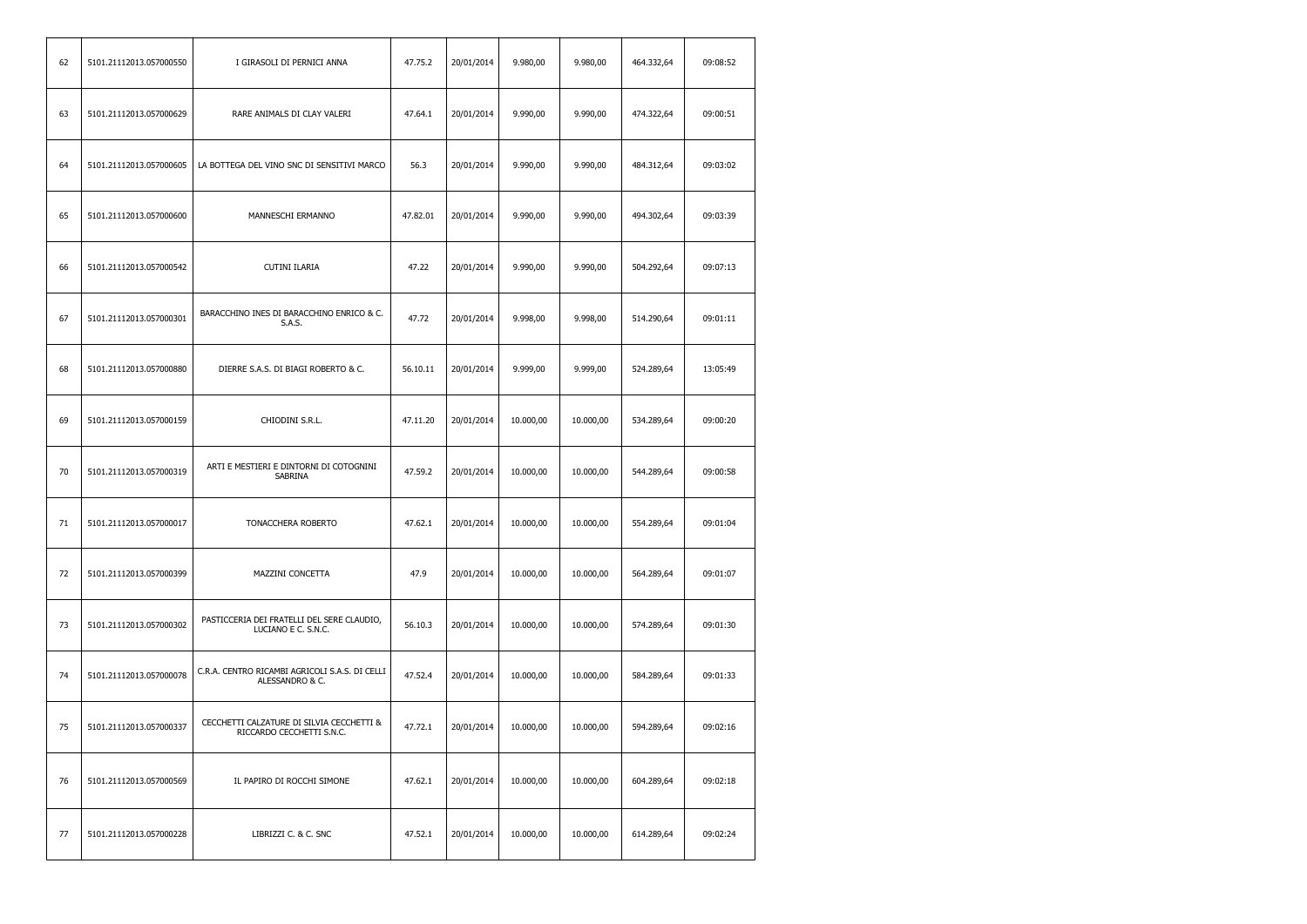| 62 | 5101.21112013.057000550 | I GIRASOLI DI PERNICI ANNA                                             | 47.75.2  | 20/01/2014 | 9.980,00  | 9.980,00  | 464.332,64 | 09:08:52 |
|----|-------------------------|------------------------------------------------------------------------|----------|------------|-----------|-----------|------------|----------|
| 63 | 5101.21112013.057000629 | RARE ANIMALS DI CLAY VALERI                                            | 47.64.1  | 20/01/2014 | 9.990,00  | 9.990,00  | 474.322,64 | 09:00:51 |
| 64 | 5101.21112013.057000605 | LA BOTTEGA DEL VINO SNC DI SENSITIVI MARCO                             | 56.3     | 20/01/2014 | 9.990,00  | 9.990,00  | 484.312,64 | 09:03:02 |
| 65 | 5101.21112013.057000600 | MANNESCHI ERMANNO                                                      | 47.82.01 | 20/01/2014 | 9.990,00  | 9.990,00  | 494.302,64 | 09:03:39 |
| 66 | 5101.21112013.057000542 | <b>CUTINI ILARIA</b>                                                   | 47.22    | 20/01/2014 | 9.990,00  | 9.990,00  | 504.292,64 | 09:07:13 |
| 67 | 5101.21112013.057000301 | BARACCHINO INES DI BARACCHINO ENRICO & C.<br>S.A.S.                    | 47.72    | 20/01/2014 | 9.998,00  | 9.998,00  | 514.290,64 | 09:01:11 |
| 68 | 5101.21112013.057000880 | DIERRE S.A.S. DI BIAGI ROBERTO & C.                                    | 56.10.11 | 20/01/2014 | 9.999,00  | 9.999,00  | 524.289,64 | 13:05:49 |
| 69 | 5101.21112013.057000159 | CHIODINI S.R.L.                                                        | 47.11.20 | 20/01/2014 | 10.000,00 | 10.000,00 | 534.289,64 | 09:00:20 |
| 70 | 5101.21112013.057000319 | ARTI E MESTIERI E DINTORNI DI COTOGNINI<br><b>SABRINA</b>              | 47.59.2  | 20/01/2014 | 10.000,00 | 10.000,00 | 544.289,64 | 09:00:58 |
| 71 | 5101.21112013.057000017 | TONACCHERA ROBERTO                                                     | 47.62.1  | 20/01/2014 | 10.000,00 | 10.000,00 | 554.289,64 | 09:01:04 |
| 72 | 5101.21112013.057000399 | MAZZINI CONCETTA                                                       | 47.9     | 20/01/2014 | 10.000,00 | 10.000,00 | 564.289,64 | 09:01:07 |
| 73 | 5101.21112013.057000302 | PASTICCERIA DEI FRATELLI DEL SERE CLAUDIO,<br>LUCIANO E C. S.N.C.      | 56.10.3  | 20/01/2014 | 10.000,00 | 10.000,00 | 574.289,64 | 09:01:30 |
| 74 | 5101.21112013.057000078 | C.R.A. CENTRO RICAMBI AGRICOLI S.A.S. DI CELLI<br>ALESSANDRO & C.      | 47.52.4  | 20/01/2014 | 10.000,00 | 10.000,00 | 584.289,64 | 09:01:33 |
| 75 | 5101.21112013.057000337 | CECCHETTI CALZATURE DI SILVIA CECCHETTI &<br>RICCARDO CECCHETTI S.N.C. | 47.72.1  | 20/01/2014 | 10.000,00 | 10.000,00 | 594.289,64 | 09:02:16 |
| 76 | 5101.21112013.057000569 | IL PAPIRO DI ROCCHI SIMONE                                             | 47.62.1  | 20/01/2014 | 10.000,00 | 10.000,00 | 604.289,64 | 09:02:18 |
| 77 | 5101.21112013.057000228 | LIBRIZZI C. & C. SNC                                                   | 47.52.1  | 20/01/2014 | 10.000,00 | 10.000,00 | 614.289,64 | 09:02:24 |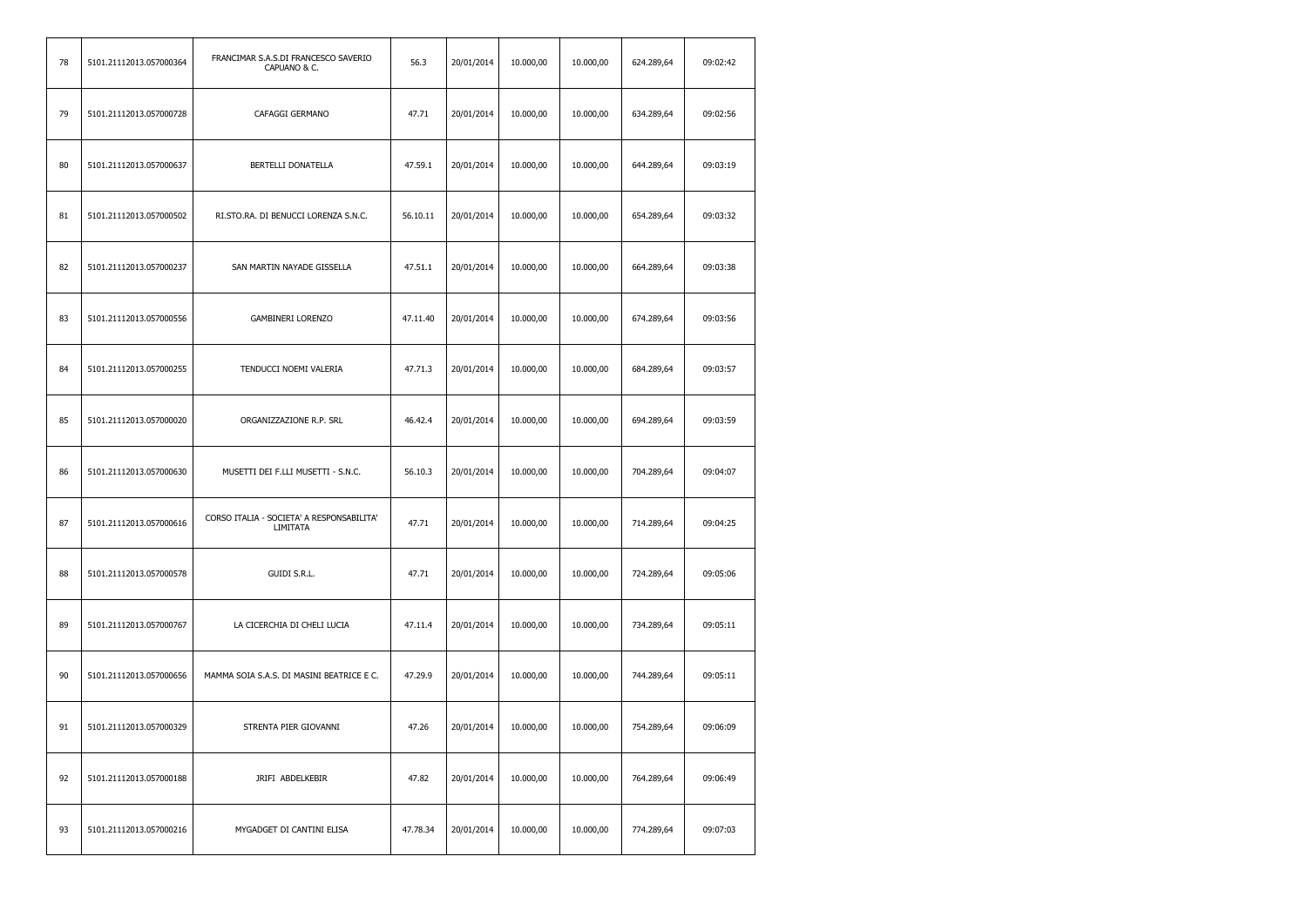| 78 | 5101.21112013.057000364 | FRANCIMAR S.A.S.DI FRANCESCO SAVERIO<br>CAPUANO & C.  | 56.3     | 20/01/2014 | 10.000,00 | 10.000,00 | 624.289,64 | 09:02:42 |
|----|-------------------------|-------------------------------------------------------|----------|------------|-----------|-----------|------------|----------|
| 79 | 5101.21112013.057000728 | CAFAGGI GERMANO                                       | 47.71    | 20/01/2014 | 10.000,00 | 10.000,00 | 634.289,64 | 09:02:56 |
| 80 | 5101.21112013.057000637 | BERTELLI DONATELLA                                    | 47.59.1  | 20/01/2014 | 10.000,00 | 10.000,00 | 644.289,64 | 09:03:19 |
| 81 | 5101.21112013.057000502 | RI.STO.RA. DI BENUCCI LORENZA S.N.C.                  | 56.10.11 | 20/01/2014 | 10.000,00 | 10.000,00 | 654.289,64 | 09:03:32 |
| 82 | 5101.21112013.057000237 | SAN MARTIN NAYADE GISSELLA                            | 47.51.1  | 20/01/2014 | 10.000,00 | 10.000,00 | 664.289,64 | 09:03:38 |
| 83 | 5101.21112013.057000556 | <b>GAMBINERI LORENZO</b>                              | 47.11.40 | 20/01/2014 | 10.000,00 | 10.000,00 | 674.289,64 | 09:03:56 |
| 84 | 5101.21112013.057000255 | TENDUCCI NOEMI VALERIA                                | 47.71.3  | 20/01/2014 | 10.000,00 | 10.000,00 | 684.289,64 | 09:03:57 |
| 85 | 5101.21112013.057000020 | ORGANIZZAZIONE R.P. SRL                               | 46.42.4  | 20/01/2014 | 10.000,00 | 10.000,00 | 694.289,64 | 09:03:59 |
| 86 | 5101.21112013.057000630 | MUSETTI DEI F.LLI MUSETTI - S.N.C.                    | 56.10.3  | 20/01/2014 | 10.000,00 | 10.000,00 | 704.289,64 | 09:04:07 |
| 87 | 5101.21112013.057000616 | CORSO ITALIA - SOCIETA' A RESPONSABILITA'<br>LIMITATA | 47.71    | 20/01/2014 | 10.000,00 | 10.000,00 | 714.289,64 | 09:04:25 |
| 88 | 5101.21112013.057000578 | GUIDI S.R.L.                                          | 47.71    | 20/01/2014 | 10.000,00 | 10.000,00 | 724.289,64 | 09:05:06 |
| 89 | 5101.21112013.057000767 | LA CICERCHIA DI CHELI LUCIA                           | 47.11.4  | 20/01/2014 | 10.000,00 | 10.000,00 | 734.289,64 | 09:05:11 |
| 90 | 5101.21112013.057000656 | MAMMA SOIA S.A.S. DI MASINI BEATRICE E C.             | 47.29.9  | 20/01/2014 | 10.000,00 | 10.000,00 | 744.289,64 | 09:05:11 |
| 91 | 5101.21112013.057000329 | STRENTA PIER GIOVANNI                                 | 47.26    | 20/01/2014 | 10.000,00 | 10.000,00 | 754.289,64 | 09:06:09 |
| 92 | 5101.21112013.057000188 | JRIFI ABDELKEBIR                                      | 47.82    | 20/01/2014 | 10.000,00 | 10.000,00 | 764.289,64 | 09:06:49 |
| 93 | 5101.21112013.057000216 | MYGADGET DI CANTINI ELISA                             | 47.78.34 | 20/01/2014 | 10.000,00 | 10.000,00 | 774.289,64 | 09:07:03 |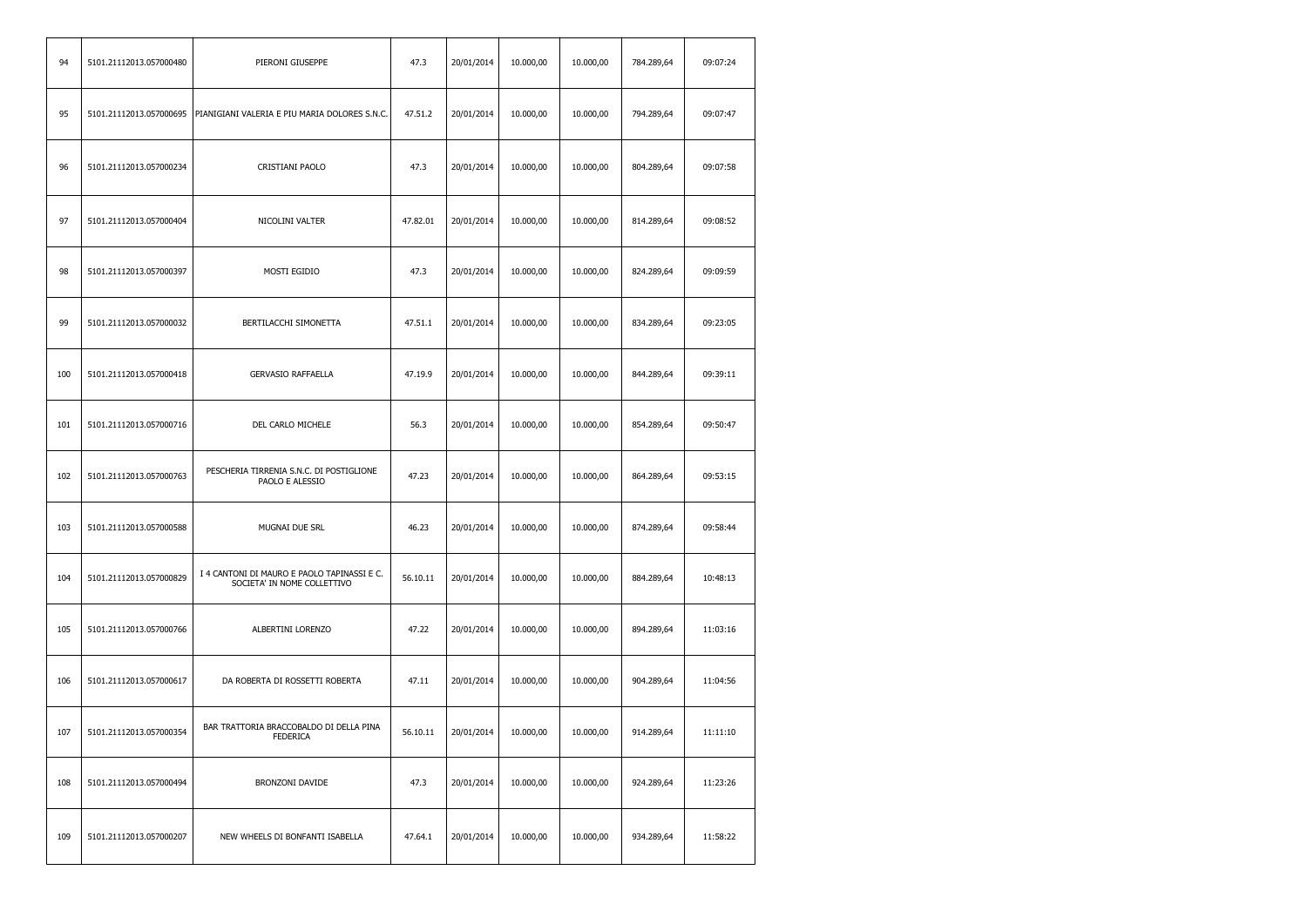| 94  | 5101.21112013.057000480 | PIERONI GIUSEPPE                                                           | 47.3     | 20/01/2014 | 10.000,00 | 10.000,00 | 784.289,64 | 09:07:24 |
|-----|-------------------------|----------------------------------------------------------------------------|----------|------------|-----------|-----------|------------|----------|
| 95  | 5101.21112013.057000695 | PIANIGIANI VALERIA E PIU MARIA DOLORES S.N.C.                              | 47.51.2  | 20/01/2014 | 10.000,00 | 10.000,00 | 794.289,64 | 09:07:47 |
| 96  | 5101.21112013.057000234 | CRISTIANI PAOLO                                                            | 47.3     | 20/01/2014 | 10.000,00 | 10.000,00 | 804.289,64 | 09:07:58 |
| 97  | 5101.21112013.057000404 | NICOLINI VALTER                                                            | 47.82.01 | 20/01/2014 | 10.000,00 | 10.000,00 | 814.289,64 | 09:08:52 |
| 98  | 5101.21112013.057000397 | MOSTI EGIDIO                                                               | 47.3     | 20/01/2014 | 10.000,00 | 10.000,00 | 824.289,64 | 09:09:59 |
| 99  | 5101.21112013.057000032 | BERTILACCHI SIMONETTA                                                      | 47.51.1  | 20/01/2014 | 10.000,00 | 10.000,00 | 834.289,64 | 09:23:05 |
| 100 | 5101.21112013.057000418 | <b>GERVASIO RAFFAELLA</b>                                                  | 47.19.9  | 20/01/2014 | 10.000,00 | 10.000,00 | 844.289,64 | 09:39:11 |
| 101 | 5101.21112013.057000716 | DEL CARLO MICHELE                                                          | 56.3     | 20/01/2014 | 10.000,00 | 10.000,00 | 854.289,64 | 09:50:47 |
| 102 | 5101.21112013.057000763 | PESCHERIA TIRRENIA S.N.C. DI POSTIGLIONE<br>PAOLO E ALESSIO                | 47.23    | 20/01/2014 | 10.000,00 | 10.000,00 | 864.289,64 | 09:53:15 |
| 103 | 5101.21112013.057000588 | MUGNAI DUE SRL                                                             | 46.23    | 20/01/2014 | 10.000,00 | 10.000,00 | 874.289,64 | 09:58:44 |
| 104 | 5101.21112013.057000829 | I 4 CANTONI DI MAURO E PAOLO TAPINASSI E C.<br>SOCIETA' IN NOME COLLETTIVO | 56.10.11 | 20/01/2014 | 10.000,00 | 10.000,00 | 884.289,64 | 10:48:13 |
| 105 | 5101.21112013.057000766 | ALBERTINI LORENZO                                                          | 47.22    | 20/01/2014 | 10.000,00 | 10.000,00 | 894.289,64 | 11:03:16 |
| 106 | 5101.21112013.057000617 | DA ROBERTA DI ROSSETTI ROBERTA                                             | 47.11    | 20/01/2014 | 10.000,00 | 10.000,00 | 904.289,64 | 11:04:56 |
| 107 | 5101.21112013.057000354 | BAR TRATTORIA BRACCOBALDO DI DELLA PINA<br><b>FEDERICA</b>                 | 56.10.11 | 20/01/2014 | 10.000,00 | 10.000,00 | 914.289,64 | 11:11:10 |
| 108 | 5101.21112013.057000494 | BRONZONI DAVIDE                                                            | 47.3     | 20/01/2014 | 10.000,00 | 10.000,00 | 924.289,64 | 11:23:26 |
| 109 | 5101.21112013.057000207 | NEW WHEELS DI BONFANTI ISABELLA                                            | 47.64.1  | 20/01/2014 | 10.000,00 | 10.000,00 | 934.289,64 | 11:58:22 |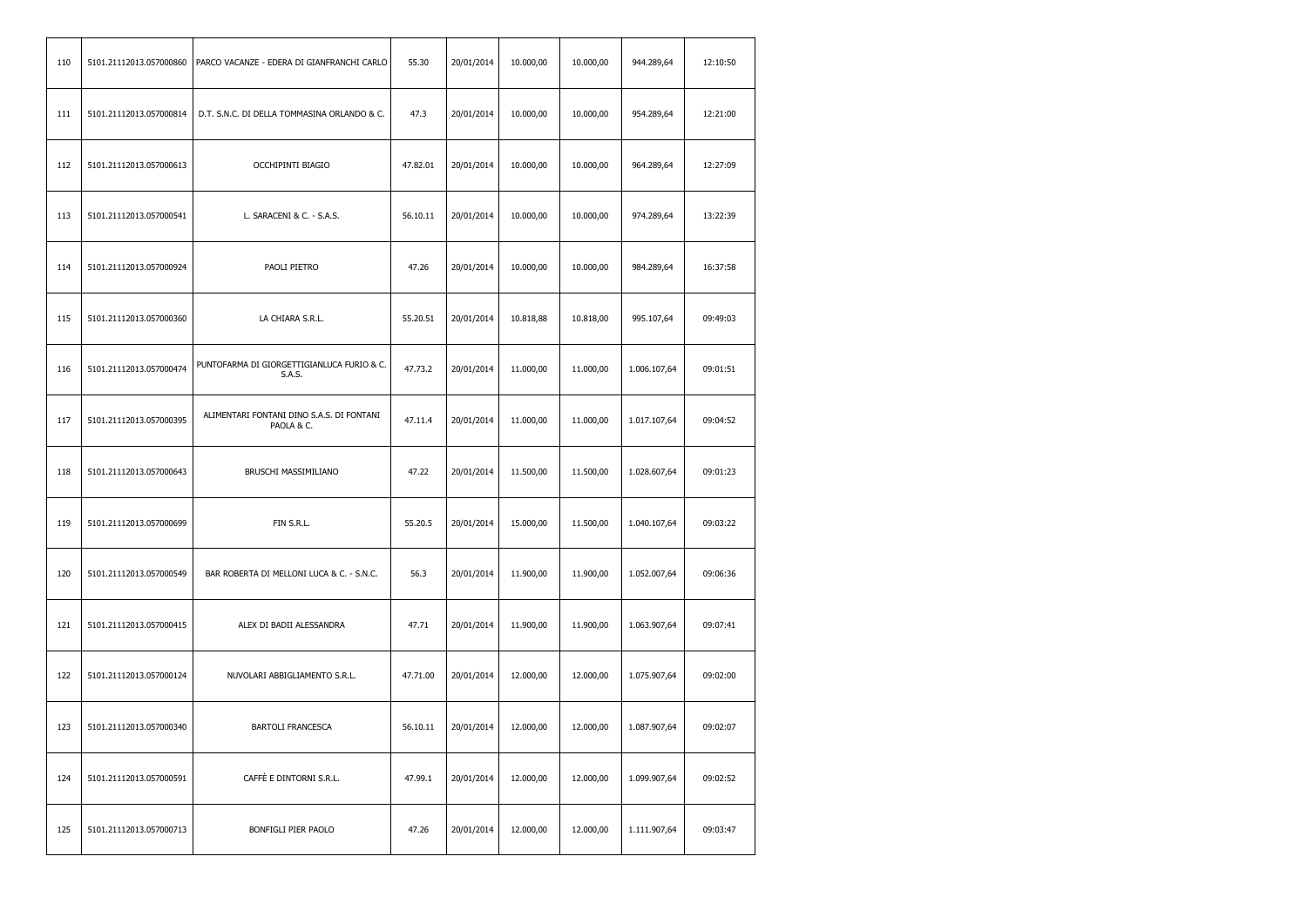| 110 | 5101.21112013.057000860 | PARCO VACANZE - EDERA DI GIANFRANCHI CARLO                  | 55.30    | 20/01/2014 | 10.000,00 | 10.000,00 | 944.289,64   | 12:10:50 |
|-----|-------------------------|-------------------------------------------------------------|----------|------------|-----------|-----------|--------------|----------|
| 111 | 5101.21112013.057000814 | D.T. S.N.C. DI DELLA TOMMASINA ORLANDO & C.                 | 47.3     | 20/01/2014 | 10.000,00 | 10.000,00 | 954.289,64   | 12:21:00 |
| 112 | 5101.21112013.057000613 | OCCHIPINTI BIAGIO                                           | 47.82.01 | 20/01/2014 | 10.000,00 | 10.000,00 | 964.289,64   | 12:27:09 |
| 113 | 5101.21112013.057000541 | L. SARACENI & C. - S.A.S.                                   | 56.10.11 | 20/01/2014 | 10.000,00 | 10.000,00 | 974.289,64   | 13:22:39 |
| 114 | 5101.21112013.057000924 | PAOLI PIETRO                                                | 47.26    | 20/01/2014 | 10.000,00 | 10.000,00 | 984.289,64   | 16:37:58 |
| 115 | 5101.21112013.057000360 | LA CHIARA S.R.L.                                            | 55.20.51 | 20/01/2014 | 10.818,88 | 10.818,00 | 995.107,64   | 09:49:03 |
| 116 | 5101.21112013.057000474 | PUNTOFARMA DI GIORGETTIGIANLUCA FURIO & C.<br><b>S.A.S.</b> | 47.73.2  | 20/01/2014 | 11.000,00 | 11.000,00 | 1.006.107,64 | 09:01:51 |
| 117 | 5101.21112013.057000395 | ALIMENTARI FONTANI DINO S.A.S. DI FONTANI<br>PAOLA & C.     | 47.11.4  | 20/01/2014 | 11.000,00 | 11.000,00 | 1.017.107,64 | 09:04:52 |
| 118 | 5101.21112013.057000643 | BRUSCHI MASSIMILIANO                                        | 47.22    | 20/01/2014 | 11.500,00 | 11.500,00 | 1.028.607,64 | 09:01:23 |
| 119 | 5101.21112013.057000699 | FIN S.R.L.                                                  | 55.20.5  | 20/01/2014 | 15.000,00 | 11.500,00 | 1.040.107,64 | 09:03:22 |
| 120 | 5101.21112013.057000549 | BAR ROBERTA DI MELLONI LUCA & C. - S.N.C.                   | 56.3     | 20/01/2014 | 11.900,00 | 11.900,00 | 1.052.007,64 | 09:06:36 |
| 121 | 5101.21112013.057000415 | ALEX DI BADII ALESSANDRA                                    | 47.71    | 20/01/2014 | 11.900,00 | 11.900,00 | 1.063.907,64 | 09:07:41 |
| 122 | 5101.21112013.057000124 | NUVOLARI ABBIGLIAMENTO S.R.L.                               | 47.71.00 | 20/01/2014 | 12.000,00 | 12.000,00 | 1.075.907,64 | 09:02:00 |
| 123 | 5101.21112013.057000340 | <b>BARTOLI FRANCESCA</b>                                    | 56.10.11 | 20/01/2014 | 12.000,00 | 12.000,00 | 1.087.907,64 | 09:02:07 |
| 124 | 5101.21112013.057000591 | CAFFÈ E DINTORNI S.R.L.                                     | 47.99.1  | 20/01/2014 | 12.000,00 | 12.000,00 | 1.099.907,64 | 09:02:52 |
| 125 | 5101.21112013.057000713 | BONFIGLI PIER PAOLO                                         | 47.26    | 20/01/2014 | 12.000,00 | 12.000,00 | 1.111.907,64 | 09:03:47 |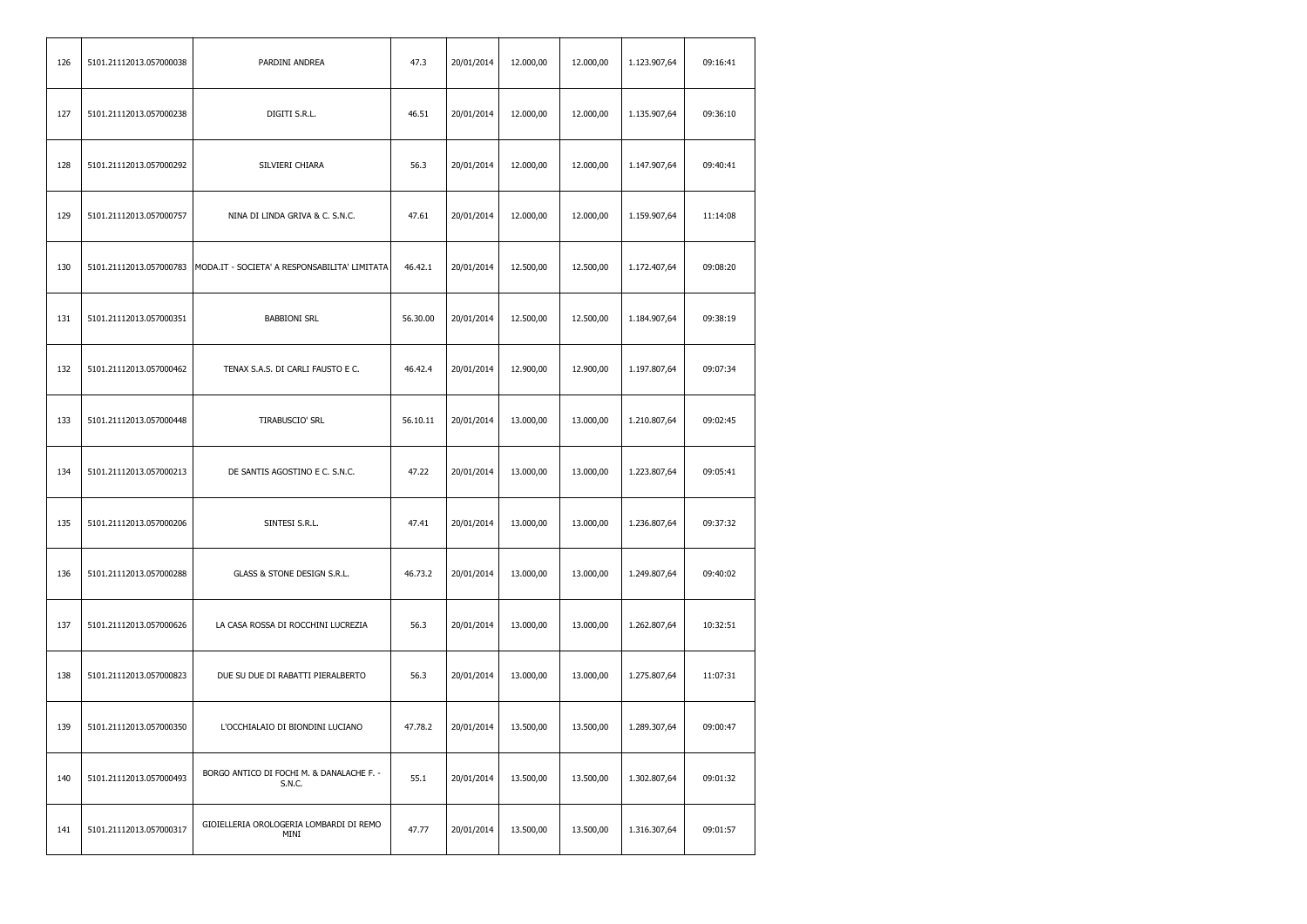| 126 | 5101.21112013.057000038 | PARDINI ANDREA                                      | 47.3     | 20/01/2014 | 12.000,00 | 12.000,00 | 1.123.907,64 | 09:16:41 |
|-----|-------------------------|-----------------------------------------------------|----------|------------|-----------|-----------|--------------|----------|
| 127 | 5101.21112013.057000238 | DIGITI S.R.L.                                       | 46.51    | 20/01/2014 | 12.000,00 | 12.000,00 | 1.135.907,64 | 09:36:10 |
| 128 | 5101.21112013.057000292 | SILVIERI CHIARA                                     | 56.3     | 20/01/2014 | 12.000,00 | 12.000,00 | 1.147.907,64 | 09:40:41 |
| 129 | 5101.21112013.057000757 | NINA DI LINDA GRIVA & C. S.N.C.                     | 47.61    | 20/01/2014 | 12.000,00 | 12.000,00 | 1.159.907,64 | 11:14:08 |
| 130 | 5101.21112013.057000783 | MODA.IT - SOCIETA' A RESPONSABILITA' LIMITATA       | 46.42.1  | 20/01/2014 | 12.500,00 | 12.500,00 | 1.172.407,64 | 09:08:20 |
| 131 | 5101.21112013.057000351 | <b>BABBIONI SRL</b>                                 | 56.30.00 | 20/01/2014 | 12.500,00 | 12.500,00 | 1.184.907,64 | 09:38:19 |
| 132 | 5101.21112013.057000462 | TENAX S.A.S. DI CARLI FAUSTO E C.                   | 46.42.4  | 20/01/2014 | 12.900,00 | 12.900,00 | 1.197.807,64 | 09:07:34 |
| 133 | 5101.21112013.057000448 | TIRABUSCIO' SRL                                     | 56.10.11 | 20/01/2014 | 13.000,00 | 13.000,00 | 1.210.807,64 | 09:02:45 |
| 134 | 5101.21112013.057000213 | DE SANTIS AGOSTINO E C. S.N.C.                      | 47.22    | 20/01/2014 | 13.000,00 | 13.000,00 | 1.223.807,64 | 09:05:41 |
| 135 | 5101.21112013.057000206 | SINTESI S.R.L.                                      | 47.41    | 20/01/2014 | 13.000,00 | 13.000,00 | 1.236.807,64 | 09:37:32 |
| 136 | 5101.21112013.057000288 | GLASS & STONE DESIGN S.R.L.                         | 46.73.2  | 20/01/2014 | 13.000,00 | 13.000,00 | 1.249.807,64 | 09:40:02 |
| 137 | 5101.21112013.057000626 | LA CASA ROSSA DI ROCCHINI LUCREZIA                  | 56.3     | 20/01/2014 | 13.000,00 | 13.000,00 | 1.262.807,64 | 10:32:51 |
| 138 | 5101.21112013.057000823 | DUE SU DUE DI RABATTI PIERALBERTO                   | 56.3     | 20/01/2014 | 13.000,00 | 13.000,00 | 1.275.807,64 | 11:07:31 |
| 139 | 5101.21112013.057000350 | L'OCCHIALAIO DI BIONDINI LUCIANO                    | 47.78.2  | 20/01/2014 | 13.500,00 | 13.500,00 | 1.289.307,64 | 09:00:47 |
| 140 | 5101.21112013.057000493 | BORGO ANTICO DI FOCHI M. & DANALACHE F. -<br>S.N.C. | 55.1     | 20/01/2014 | 13.500,00 | 13.500,00 | 1.302.807,64 | 09:01:32 |
| 141 | 5101.21112013.057000317 | GIOIELLERIA OROLOGERIA LOMBARDI DI REMO<br>MINI     | 47.77    | 20/01/2014 | 13.500,00 | 13.500,00 | 1.316.307,64 | 09:01:57 |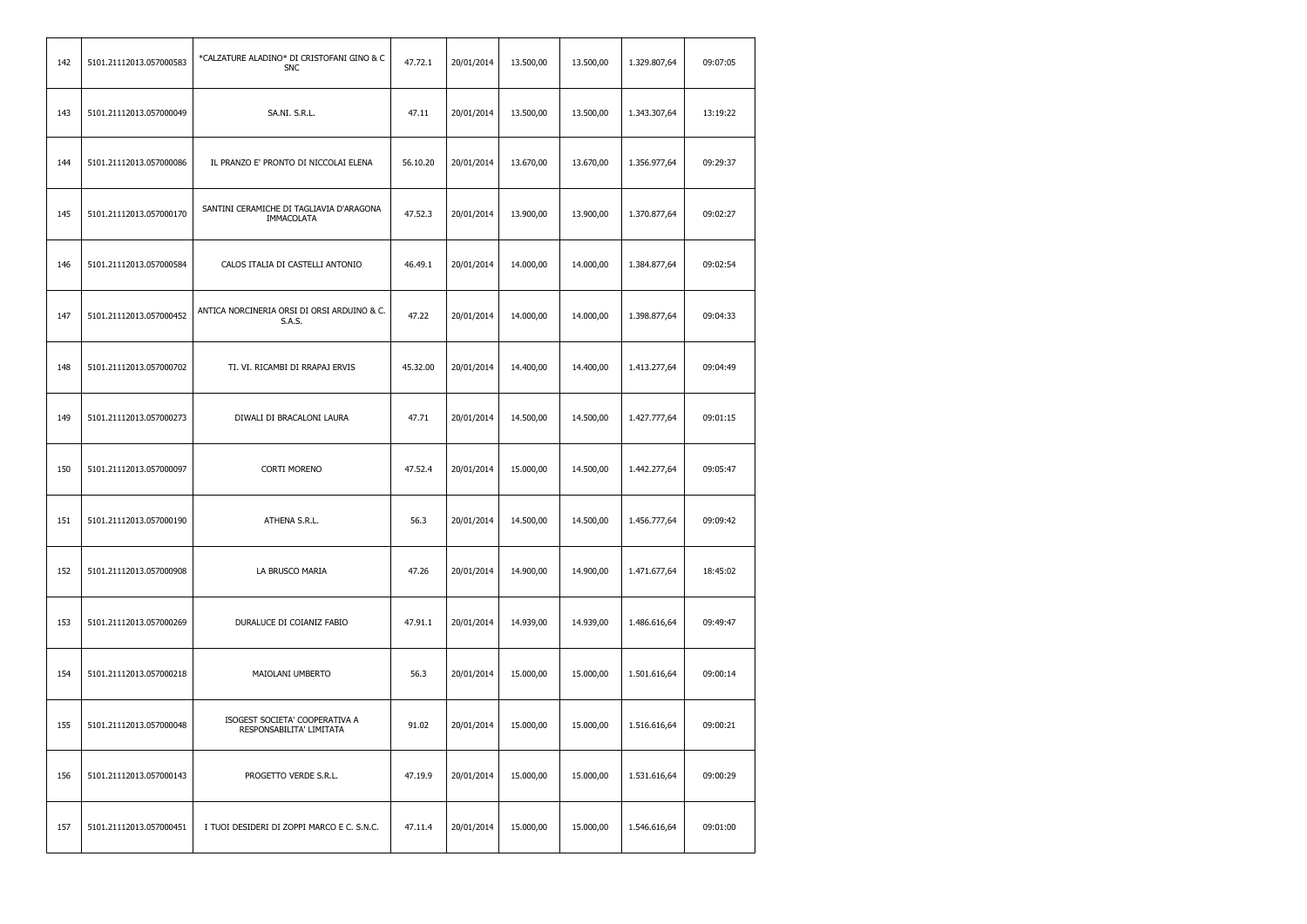| 142 | 5101.21112013.057000583 | *CALZATURE ALADINO* DI CRISTOFANI GINO & C<br><b>SNC</b>     | 47.72.1  | 20/01/2014 | 13.500,00 | 13.500,00 | 1.329.807,64 | 09:07:05 |
|-----|-------------------------|--------------------------------------------------------------|----------|------------|-----------|-----------|--------------|----------|
| 143 | 5101.21112013.057000049 | SA.NI. S.R.L.                                                | 47.11    | 20/01/2014 | 13.500,00 | 13.500,00 | 1.343.307,64 | 13:19:22 |
| 144 | 5101.21112013.057000086 | IL PRANZO E' PRONTO DI NICCOLAI ELENA                        | 56.10.20 | 20/01/2014 | 13.670,00 | 13.670,00 | 1.356.977,64 | 09:29:37 |
| 145 | 5101.21112013.057000170 | SANTINI CERAMICHE DI TAGLIAVIA D'ARAGONA<br>IMMACOLATA       | 47.52.3  | 20/01/2014 | 13.900,00 | 13.900,00 | 1.370.877,64 | 09:02:27 |
| 146 | 5101.21112013.057000584 | CALOS ITALIA DI CASTELLI ANTONIO                             | 46.49.1  | 20/01/2014 | 14.000,00 | 14.000,00 | 1.384.877,64 | 09:02:54 |
| 147 | 5101.21112013.057000452 | ANTICA NORCINERIA ORSI DI ORSI ARDUINO & C.<br><b>S.A.S.</b> | 47.22    | 20/01/2014 | 14.000,00 | 14.000,00 | 1.398.877,64 | 09:04:33 |
| 148 | 5101.21112013.057000702 | TI. VI. RICAMBI DI RRAPAJ ERVIS                              | 45.32.00 | 20/01/2014 | 14.400,00 | 14.400,00 | 1.413.277,64 | 09:04:49 |
| 149 | 5101.21112013.057000273 | DIWALI DI BRACALONI LAURA                                    | 47.71    | 20/01/2014 | 14.500,00 | 14.500,00 | 1.427.777,64 | 09:01:15 |
| 150 | 5101.21112013.057000097 | <b>CORTI MORENO</b>                                          | 47.52.4  | 20/01/2014 | 15.000,00 | 14.500,00 | 1.442.277,64 | 09:05:47 |
| 151 | 5101.21112013.057000190 | ATHENA S.R.L.                                                | 56.3     | 20/01/2014 | 14.500,00 | 14.500,00 | 1.456.777,64 | 09:09:42 |
| 152 | 5101.21112013.057000908 | LA BRUSCO MARIA                                              | 47.26    | 20/01/2014 | 14.900,00 | 14.900,00 | 1.471.677,64 | 18:45:02 |
| 153 | 5101.21112013.057000269 | DURALUCE DI COIANIZ FABIO                                    | 47.91.1  | 20/01/2014 | 14.939,00 | 14.939,00 | 1.486.616,64 | 09:49:47 |
| 154 | 5101.21112013.057000218 | MAIOLANI UMBERTO                                             | 56.3     | 20/01/2014 | 15.000,00 | 15.000,00 | 1.501.616,64 | 09:00:14 |
| 155 | 5101.21112013.057000048 | ISOGEST SOCIETA' COOPERATIVA A<br>RESPONSABILITA' LIMITATA   | 91.02    | 20/01/2014 | 15.000,00 | 15.000,00 | 1.516.616,64 | 09:00:21 |
| 156 | 5101.21112013.057000143 | PROGETTO VERDE S.R.L.                                        | 47.19.9  | 20/01/2014 | 15.000,00 | 15.000,00 | 1.531.616,64 | 09:00:29 |
| 157 | 5101.21112013.057000451 | I TUOI DESIDERI DI ZOPPI MARCO E C. S.N.C.                   | 47.11.4  | 20/01/2014 | 15.000,00 | 15.000,00 | 1.546.616,64 | 09:01:00 |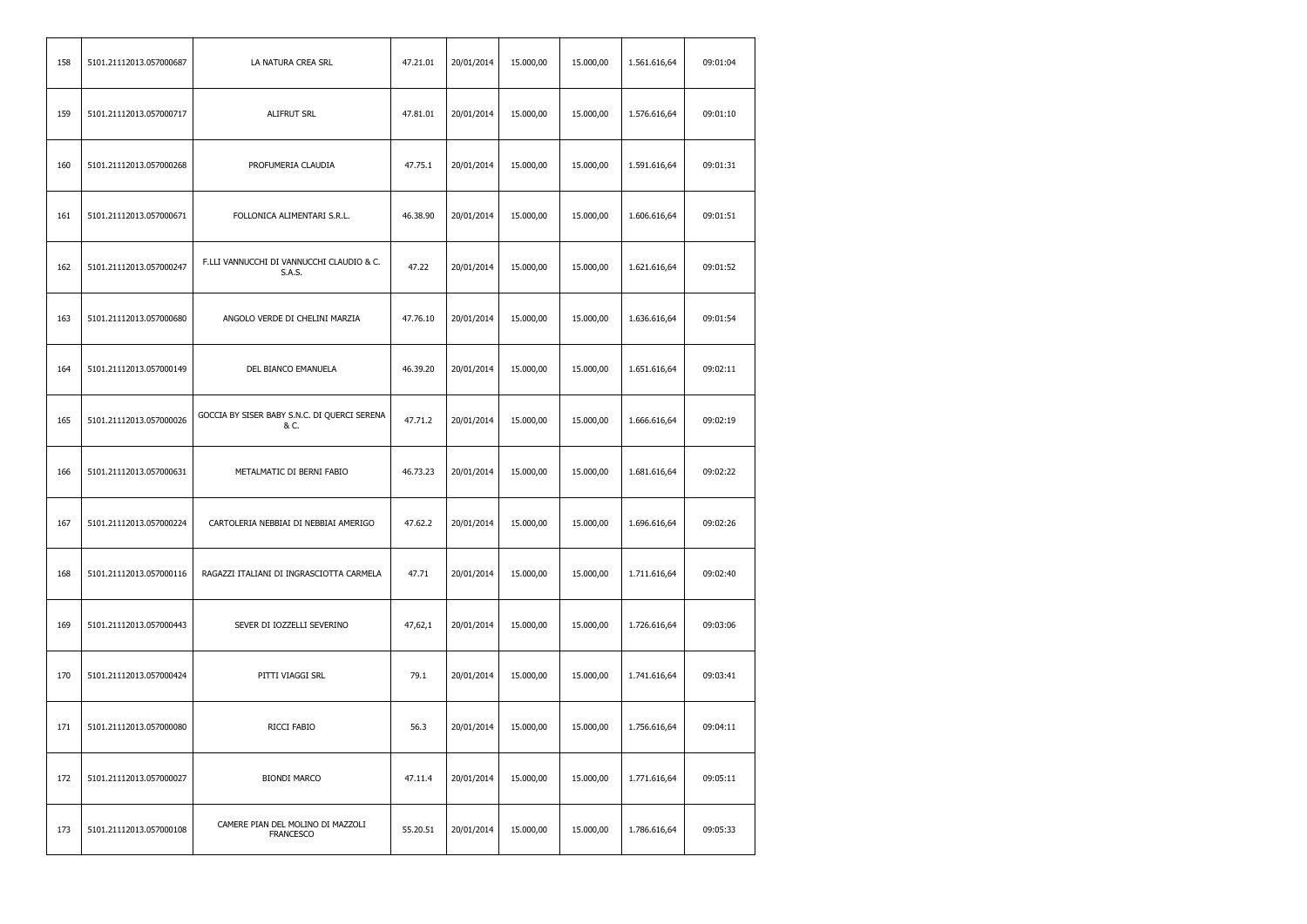| 158 | 5101.21112013.057000687 | LA NATURA CREA SRL                                    | 47.21.01 | 20/01/2014 | 15.000,00 | 15.000,00 | 1.561.616,64 | 09:01:04 |
|-----|-------------------------|-------------------------------------------------------|----------|------------|-----------|-----------|--------------|----------|
| 159 | 5101.21112013.057000717 | <b>ALIFRUT SRL</b>                                    | 47.81.01 | 20/01/2014 | 15.000,00 | 15.000,00 | 1.576.616,64 | 09:01:10 |
| 160 | 5101.21112013.057000268 | PROFUMERIA CLAUDIA                                    | 47.75.1  | 20/01/2014 | 15.000,00 | 15.000,00 | 1.591.616,64 | 09:01:31 |
| 161 | 5101.21112013.057000671 | FOLLONICA ALIMENTARI S.R.L.                           | 46.38.90 | 20/01/2014 | 15.000,00 | 15.000,00 | 1.606.616,64 | 09:01:51 |
| 162 | 5101.21112013.057000247 | F.LLI VANNUCCHI DI VANNUCCHI CLAUDIO & C.<br>S.A.S.   | 47.22    | 20/01/2014 | 15.000,00 | 15.000,00 | 1.621.616,64 | 09:01:52 |
| 163 | 5101.21112013.057000680 | ANGOLO VERDE DI CHELINI MARZIA                        | 47.76.10 | 20/01/2014 | 15.000,00 | 15.000,00 | 1.636.616,64 | 09:01:54 |
| 164 | 5101.21112013.057000149 | DEL BIANCO EMANUELA                                   | 46.39.20 | 20/01/2014 | 15.000,00 | 15.000,00 | 1.651.616,64 | 09:02:11 |
| 165 | 5101.21112013.057000026 | GOCCIA BY SISER BABY S.N.C. DI QUERCI SERENA<br>& C.  | 47.71.2  | 20/01/2014 | 15.000,00 | 15.000,00 | 1.666.616,64 | 09:02:19 |
| 166 | 5101.21112013.057000631 | METALMATIC DI BERNI FABIO                             | 46.73.23 | 20/01/2014 | 15.000,00 | 15.000,00 | 1.681.616,64 | 09:02:22 |
| 167 | 5101.21112013.057000224 | CARTOLERIA NEBBIAI DI NEBBIAI AMERIGO                 | 47.62.2  | 20/01/2014 | 15.000,00 | 15.000,00 | 1.696.616,64 | 09:02:26 |
| 168 | 5101.21112013.057000116 | RAGAZZI ITALIANI DI INGRASCIOTTA CARMELA              | 47.71    | 20/01/2014 | 15.000,00 | 15.000,00 | 1.711.616,64 | 09:02:40 |
| 169 | 5101.21112013.057000443 | SEVER DI IOZZELLI SEVERINO                            | 47,62,1  | 20/01/2014 | 15.000,00 | 15.000,00 | 1.726.616,64 | 09:03:06 |
| 170 | 5101.21112013.057000424 | PITTI VIAGGI SRL                                      | 79.1     | 20/01/2014 | 15.000,00 | 15.000,00 | 1.741.616,64 | 09:03:41 |
| 171 | 5101.21112013.057000080 | RICCI FABIO                                           | 56.3     | 20/01/2014 | 15.000,00 | 15.000,00 | 1.756.616,64 | 09:04:11 |
| 172 | 5101.21112013.057000027 | <b>BIONDI MARCO</b>                                   | 47.11.4  | 20/01/2014 | 15.000,00 | 15.000,00 | 1.771.616,64 | 09:05:11 |
| 173 | 5101.21112013.057000108 | CAMERE PIAN DEL MOLINO DI MAZZOLI<br><b>FRANCESCO</b> | 55.20.51 | 20/01/2014 | 15.000,00 | 15.000,00 | 1.786.616,64 | 09:05:33 |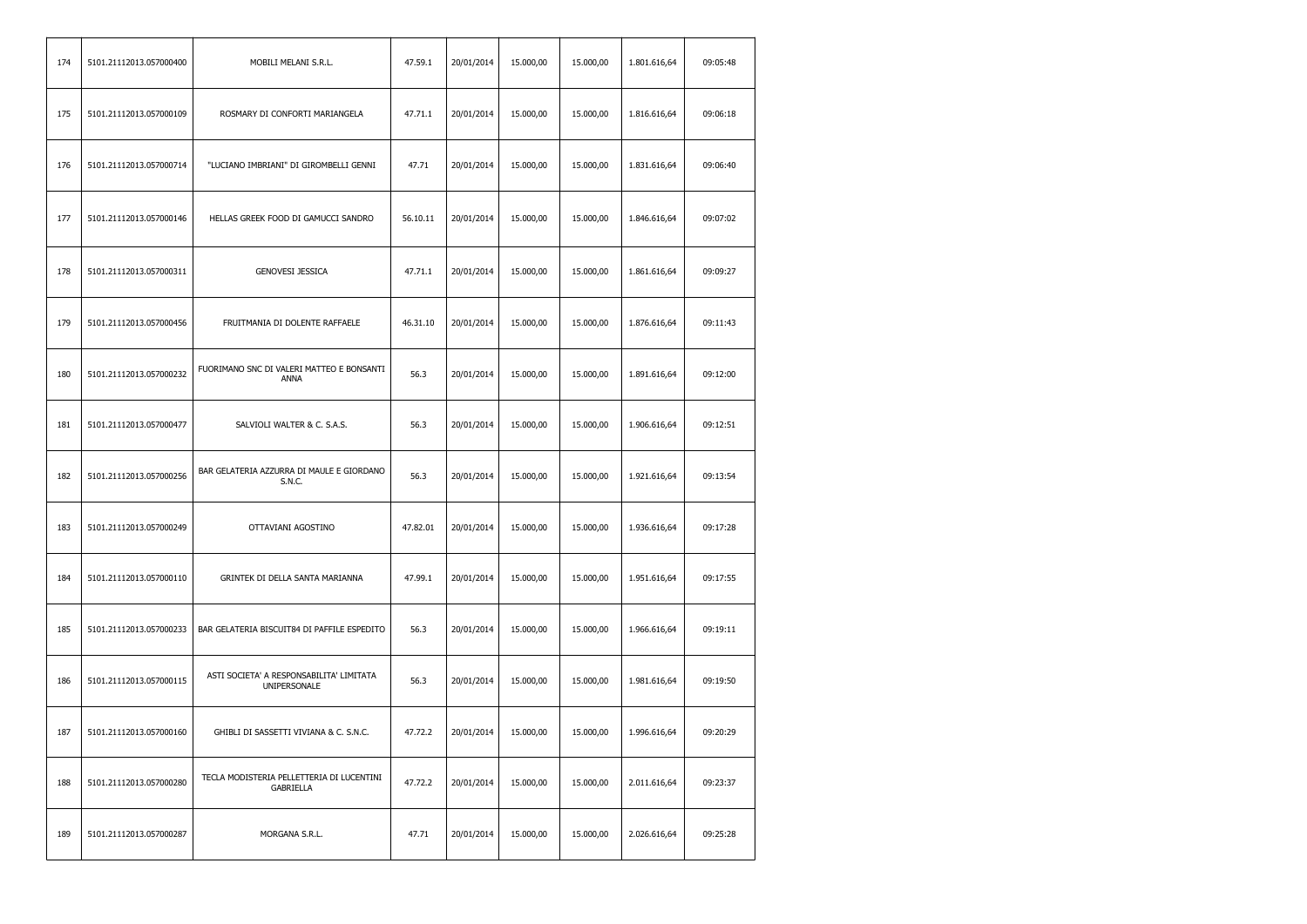| 174 | 5101.21112013.057000400 | MOBILI MELANI S.R.L.                                          | 47.59.1  | 20/01/2014 | 15.000,00 | 15.000,00 | 1.801.616,64 | 09:05:48 |
|-----|-------------------------|---------------------------------------------------------------|----------|------------|-----------|-----------|--------------|----------|
| 175 | 5101.21112013.057000109 | ROSMARY DI CONFORTI MARIANGELA                                | 47.71.1  | 20/01/2014 | 15.000,00 | 15.000,00 | 1.816.616,64 | 09:06:18 |
| 176 | 5101.21112013.057000714 | "LUCIANO IMBRIANI" DI GIROMBELLI GENNI                        | 47.71    | 20/01/2014 | 15.000,00 | 15.000,00 | 1.831.616,64 | 09:06:40 |
| 177 | 5101.21112013.057000146 | HELLAS GREEK FOOD DI GAMUCCI SANDRO                           | 56.10.11 | 20/01/2014 | 15.000,00 | 15.000,00 | 1.846.616,64 | 09:07:02 |
| 178 | 5101.21112013.057000311 | <b>GENOVESI JESSICA</b>                                       | 47.71.1  | 20/01/2014 | 15.000,00 | 15.000,00 | 1.861.616,64 | 09:09:27 |
| 179 | 5101.21112013.057000456 | FRUITMANIA DI DOLENTE RAFFAELE                                | 46.31.10 | 20/01/2014 | 15.000,00 | 15.000,00 | 1.876.616,64 | 09:11:43 |
| 180 | 5101.21112013.057000232 | FUORIMANO SNC DI VALERI MATTEO E BONSANTI<br><b>ANNA</b>      | 56.3     | 20/01/2014 | 15.000,00 | 15.000,00 | 1.891.616,64 | 09:12:00 |
| 181 | 5101.21112013.057000477 | SALVIOLI WALTER & C. S.A.S.                                   | 56.3     | 20/01/2014 | 15.000,00 | 15.000,00 | 1.906.616,64 | 09:12:51 |
| 182 | 5101.21112013.057000256 | BAR GELATERIA AZZURRA DI MAULE E GIORDANO<br>S.N.C.           | 56.3     | 20/01/2014 | 15.000,00 | 15.000,00 | 1.921.616,64 | 09:13:54 |
| 183 | 5101.21112013.057000249 | OTTAVIANI AGOSTINO                                            | 47.82.01 | 20/01/2014 | 15.000,00 | 15.000,00 | 1.936.616,64 | 09:17:28 |
| 184 | 5101.21112013.057000110 | GRINTEK DI DELLA SANTA MARIANNA                               | 47.99.1  | 20/01/2014 | 15.000,00 | 15.000,00 | 1.951.616,64 | 09:17:55 |
| 185 | 5101.21112013.057000233 | BAR GELATERIA BISCUIT84 DI PAFFILE ESPEDITO                   | 56.3     | 20/01/2014 | 15.000,00 | 15.000,00 | 1.966.616,64 | 09:19:11 |
| 186 | 5101.21112013.057000115 | ASTI SOCIETA' A RESPONSABILITA' LIMITATA<br>UNIPERSONALE      | 56.3     | 20/01/2014 | 15.000,00 | 15.000,00 | 1.981.616,64 | 09:19:50 |
| 187 | 5101.21112013.057000160 | GHIBLI DI SASSETTI VIVIANA & C. S.N.C.                        | 47.72.2  | 20/01/2014 | 15.000,00 | 15.000,00 | 1.996.616,64 | 09:20:29 |
| 188 | 5101.21112013.057000280 | TECLA MODISTERIA PELLETTERIA DI LUCENTINI<br><b>GABRIELLA</b> | 47.72.2  | 20/01/2014 | 15.000,00 | 15.000,00 | 2.011.616,64 | 09:23:37 |
| 189 | 5101.21112013.057000287 | MORGANA S.R.L.                                                | 47.71    | 20/01/2014 | 15.000,00 | 15.000,00 | 2.026.616,64 | 09:25:28 |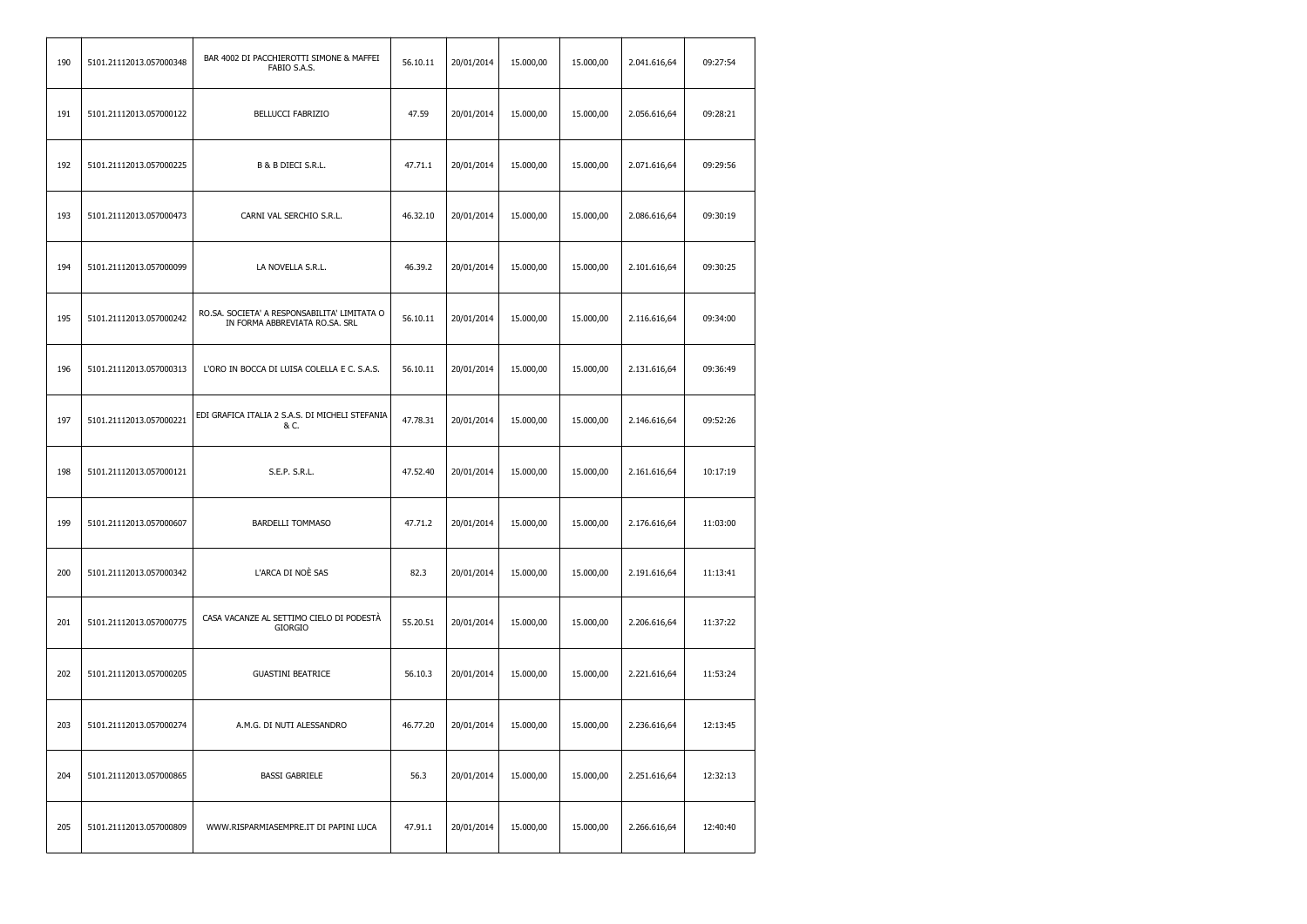| 190 | 5101.21112013.057000348 | BAR 4002 DI PACCHIEROTTI SIMONE & MAFFEI<br>FABIO S.A.S.                       | 56.10.11 | 20/01/2014 | 15.000,00 | 15.000,00 | 2.041.616,64 | 09:27:54 |
|-----|-------------------------|--------------------------------------------------------------------------------|----------|------------|-----------|-----------|--------------|----------|
| 191 | 5101.21112013.057000122 | BELLUCCI FABRIZIO                                                              | 47.59    | 20/01/2014 | 15.000,00 | 15.000,00 | 2.056.616,64 | 09:28:21 |
| 192 | 5101.21112013.057000225 | B & B DIECI S.R.L.                                                             | 47.71.1  | 20/01/2014 | 15.000,00 | 15.000,00 | 2.071.616,64 | 09:29:56 |
| 193 | 5101.21112013.057000473 | CARNI VAL SERCHIO S.R.L.                                                       | 46.32.10 | 20/01/2014 | 15.000,00 | 15.000,00 | 2.086.616,64 | 09:30:19 |
| 194 | 5101.21112013.057000099 | LA NOVELLA S.R.L.                                                              | 46.39.2  | 20/01/2014 | 15.000,00 | 15.000,00 | 2.101.616,64 | 09:30:25 |
| 195 | 5101.21112013.057000242 | RO.SA. SOCIETA' A RESPONSABILITA' LIMITATA O<br>IN FORMA ABBREVIATA RO.SA. SRL | 56.10.11 | 20/01/2014 | 15.000,00 | 15.000,00 | 2.116.616,64 | 09:34:00 |
| 196 | 5101.21112013.057000313 | L'ORO IN BOCCA DI LUISA COLELLA E C. S.A.S.                                    | 56.10.11 | 20/01/2014 | 15.000,00 | 15.000,00 | 2.131.616,64 | 09:36:49 |
| 197 | 5101.21112013.057000221 | EDI GRAFICA ITALIA 2 S.A.S. DI MICHELI STEFANIA<br>& C.                        | 47.78.31 | 20/01/2014 | 15.000,00 | 15.000,00 | 2.146.616,64 | 09:52:26 |
| 198 | 5101.21112013.057000121 | S.E.P. S.R.L.                                                                  | 47.52.40 | 20/01/2014 | 15.000,00 | 15.000,00 | 2.161.616,64 | 10:17:19 |
| 199 | 5101.21112013.057000607 | <b>BARDELLI TOMMASO</b>                                                        | 47.71.2  | 20/01/2014 | 15.000,00 | 15.000,00 | 2.176.616,64 | 11:03:00 |
| 200 | 5101.21112013.057000342 | L'ARCA DI NOÈ SAS                                                              | 82.3     | 20/01/2014 | 15.000,00 | 15.000,00 | 2.191.616,64 | 11:13:41 |
| 201 | 5101.21112013.057000775 | CASA VACANZE AL SETTIMO CIELO DI PODESTÀ<br><b>GIORGIO</b>                     | 55.20.51 | 20/01/2014 | 15.000,00 | 15.000,00 | 2.206.616,64 | 11:37:22 |
| 202 | 5101.21112013.057000205 | <b>GUASTINI BEATRICE</b>                                                       | 56.10.3  | 20/01/2014 | 15.000,00 | 15.000,00 | 2.221.616,64 | 11:53:24 |
| 203 | 5101.21112013.057000274 | A.M.G. DI NUTI ALESSANDRO                                                      | 46.77.20 | 20/01/2014 | 15.000,00 | 15.000,00 | 2.236.616,64 | 12:13:45 |
| 204 | 5101.21112013.057000865 | <b>BASSI GABRIELE</b>                                                          | 56.3     | 20/01/2014 | 15.000,00 | 15.000,00 | 2.251.616,64 | 12:32:13 |
| 205 | 5101.21112013.057000809 | WWW.RISPARMIASEMPRE.IT DI PAPINI LUCA                                          | 47.91.1  | 20/01/2014 | 15.000,00 | 15.000,00 | 2.266.616,64 | 12:40:40 |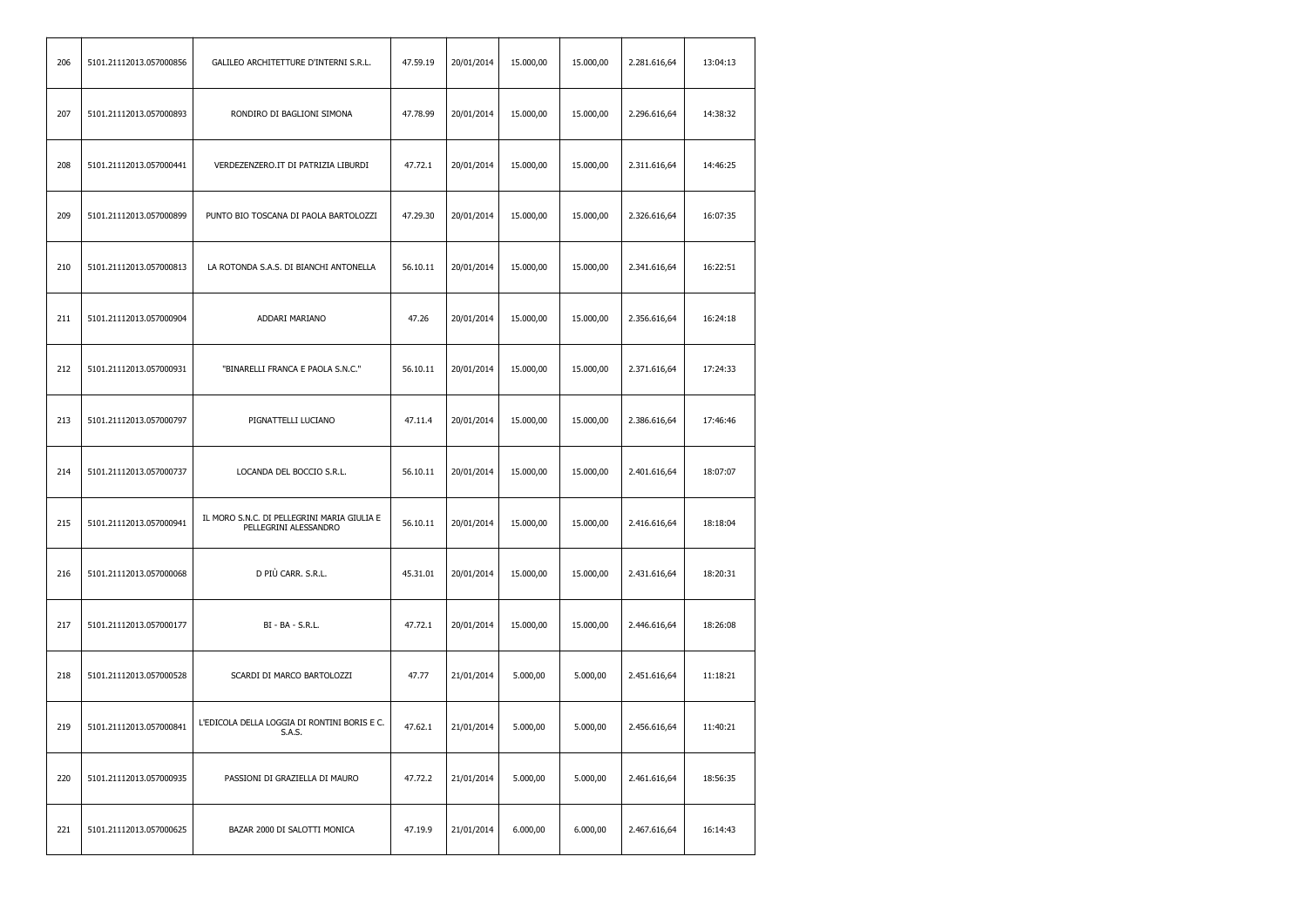| 206 | 5101.21112013.057000856 | GALILEO ARCHITETTURE D'INTERNI S.R.L.                                | 47.59.19 | 20/01/2014 | 15.000,00 | 15.000,00 | 2.281.616,64 | 13:04:13 |
|-----|-------------------------|----------------------------------------------------------------------|----------|------------|-----------|-----------|--------------|----------|
| 207 | 5101.21112013.057000893 | RONDIRO DI BAGLIONI SIMONA                                           | 47.78.99 | 20/01/2014 | 15.000,00 | 15.000,00 | 2.296.616,64 | 14:38:32 |
| 208 | 5101.21112013.057000441 | VERDEZENZERO.IT DI PATRIZIA LIBURDI                                  | 47.72.1  | 20/01/2014 | 15.000,00 | 15.000,00 | 2.311.616,64 | 14:46:25 |
| 209 | 5101.21112013.057000899 | PUNTO BIO TOSCANA DI PAOLA BARTOLOZZI                                | 47.29.30 | 20/01/2014 | 15.000,00 | 15.000,00 | 2.326.616,64 | 16:07:35 |
| 210 | 5101.21112013.057000813 | LA ROTONDA S.A.S. DI BIANCHI ANTONELLA                               | 56.10.11 | 20/01/2014 | 15.000,00 | 15.000,00 | 2.341.616,64 | 16:22:51 |
| 211 | 5101.21112013.057000904 | ADDARI MARIANO                                                       | 47.26    | 20/01/2014 | 15.000,00 | 15.000,00 | 2.356.616,64 | 16:24:18 |
| 212 | 5101.21112013.057000931 | "BINARELLI FRANCA E PAOLA S.N.C."                                    | 56.10.11 | 20/01/2014 | 15.000,00 | 15.000,00 | 2.371.616,64 | 17:24:33 |
| 213 | 5101.21112013.057000797 | PIGNATTELLI LUCIANO                                                  | 47.11.4  | 20/01/2014 | 15.000,00 | 15.000,00 | 2.386.616,64 | 17:46:46 |
| 214 | 5101.21112013.057000737 | LOCANDA DEL BOCCIO S.R.L.                                            | 56.10.11 | 20/01/2014 | 15.000,00 | 15.000,00 | 2.401.616,64 | 18:07:07 |
| 215 | 5101.21112013.057000941 | IL MORO S.N.C. DI PELLEGRINI MARIA GIULIA E<br>PELLEGRINI ALESSANDRO | 56.10.11 | 20/01/2014 | 15.000,00 | 15.000,00 | 2.416.616,64 | 18:18:04 |
| 216 | 5101.21112013.057000068 | D PIÙ CARR. S.R.L.                                                   | 45.31.01 | 20/01/2014 | 15.000,00 | 15.000,00 | 2.431.616,64 | 18:20:31 |
| 217 | 5101.21112013.057000177 | BI - BA - S.R.L.                                                     | 47.72.1  | 20/01/2014 | 15.000,00 | 15.000,00 | 2.446.616,64 | 18:26:08 |
| 218 | 5101.21112013.057000528 | SCARDI DI MARCO BARTOLOZZI                                           | 47.77    | 21/01/2014 | 5.000,00  | 5.000,00  | 2.451.616,64 | 11:18:21 |
| 219 | 5101.21112013.057000841 | L'EDICOLA DELLA LOGGIA DI RONTINI BORIS E C.<br>S.A.S.               | 47.62.1  | 21/01/2014 | 5.000,00  | 5.000,00  | 2.456.616,64 | 11:40:21 |
| 220 | 5101.21112013.057000935 | PASSIONI DI GRAZIELLA DI MAURO                                       | 47.72.2  | 21/01/2014 | 5.000,00  | 5.000,00  | 2.461.616,64 | 18:56:35 |
| 221 | 5101.21112013.057000625 | BAZAR 2000 DI SALOTTI MONICA                                         | 47.19.9  | 21/01/2014 | 6.000,00  | 6.000,00  | 2.467.616,64 | 16:14:43 |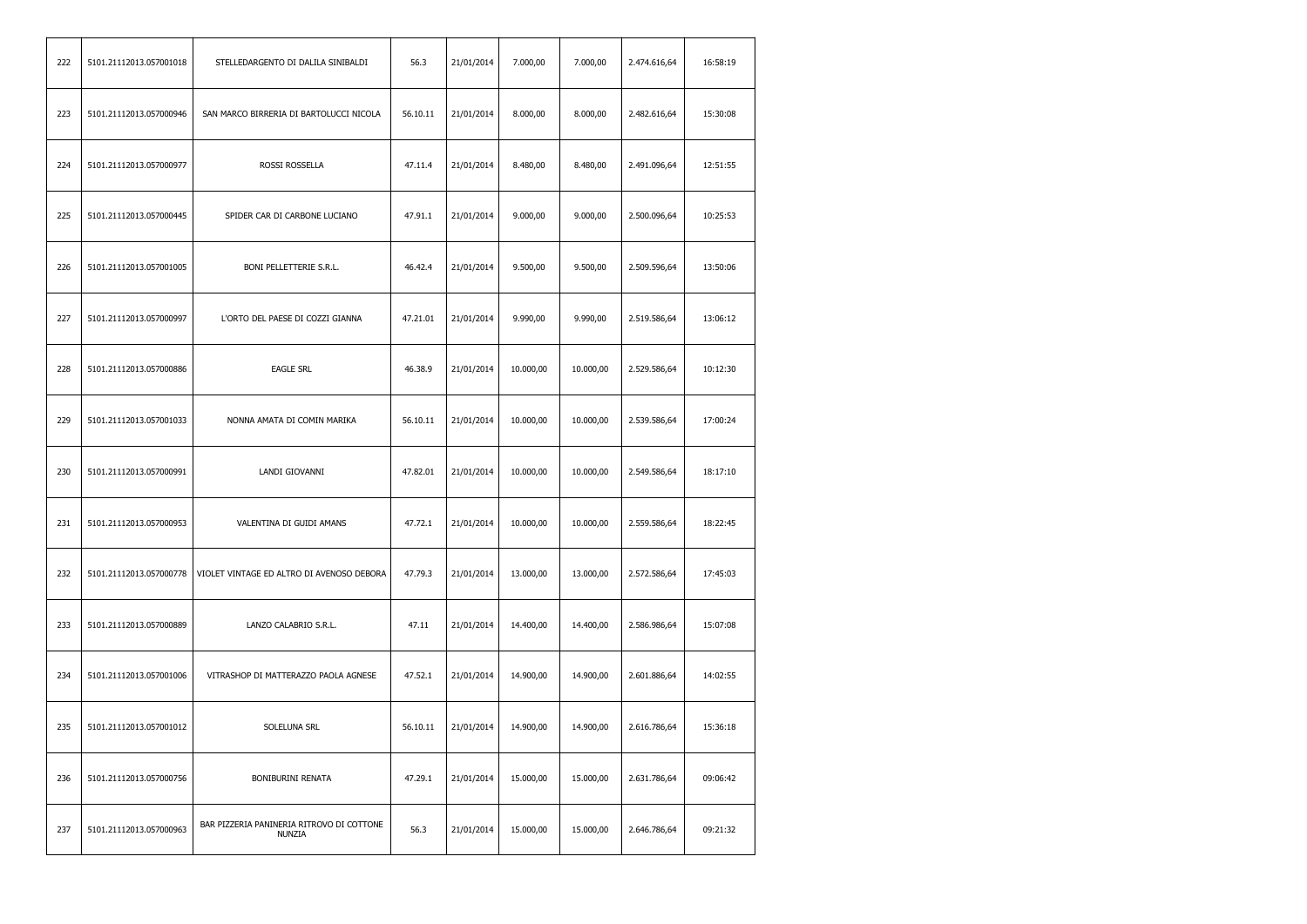| 222 | 5101.21112013.057001018 | STELLEDARGENTO DI DALILA SINIBALDI                  | 56.3     | 21/01/2014 | 7.000,00  | 7.000,00  | 2.474.616,64 | 16:58:19 |
|-----|-------------------------|-----------------------------------------------------|----------|------------|-----------|-----------|--------------|----------|
| 223 | 5101.21112013.057000946 | SAN MARCO BIRRERIA DI BARTOLUCCI NICOLA             | 56.10.11 | 21/01/2014 | 8.000,00  | 8.000,00  | 2.482.616,64 | 15:30:08 |
| 224 | 5101.21112013.057000977 | ROSSI ROSSELLA                                      | 47.11.4  | 21/01/2014 | 8.480,00  | 8.480,00  | 2.491.096,64 | 12:51:55 |
| 225 | 5101.21112013.057000445 | SPIDER CAR DI CARBONE LUCIANO                       | 47.91.1  | 21/01/2014 | 9.000,00  | 9.000,00  | 2.500.096,64 | 10:25:53 |
| 226 | 5101.21112013.057001005 | <b>BONI PELLETTERIE S.R.L.</b>                      | 46.42.4  | 21/01/2014 | 9.500,00  | 9.500,00  | 2.509.596,64 | 13:50:06 |
| 227 | 5101.21112013.057000997 | L'ORTO DEL PAESE DI COZZI GIANNA                    | 47.21.01 | 21/01/2014 | 9.990,00  | 9.990,00  | 2.519.586,64 | 13:06:12 |
| 228 | 5101.21112013.057000886 | <b>EAGLE SRL</b>                                    | 46.38.9  | 21/01/2014 | 10.000,00 | 10.000,00 | 2.529.586,64 | 10:12:30 |
| 229 | 5101.21112013.057001033 | NONNA AMATA DI COMIN MARIKA                         | 56.10.11 | 21/01/2014 | 10.000,00 | 10.000,00 | 2.539.586,64 | 17:00:24 |
| 230 | 5101.21112013.057000991 | LANDI GIOVANNI                                      | 47.82.01 | 21/01/2014 | 10.000,00 | 10.000,00 | 2.549.586,64 | 18:17:10 |
| 231 | 5101.21112013.057000953 | VALENTINA DI GUIDI AMANS                            | 47.72.1  | 21/01/2014 | 10.000,00 | 10.000,00 | 2.559.586,64 | 18:22:45 |
| 232 | 5101.21112013.057000778 | VIOLET VINTAGE ED ALTRO DI AVENOSO DEBORA           | 47.79.3  | 21/01/2014 | 13.000,00 | 13.000,00 | 2.572.586,64 | 17:45:03 |
| 233 | 5101.21112013.057000889 | LANZO CALABRIO S.R.L.                               | 47.11    | 21/01/2014 | 14.400,00 | 14.400,00 | 2.586.986,64 | 15:07:08 |
| 234 | 5101.21112013.057001006 | VITRASHOP DI MATTERAZZO PAOLA AGNESE                | 47.52.1  | 21/01/2014 | 14.900,00 | 14.900,00 | 2.601.886,64 | 14:02:55 |
| 235 | 5101.21112013.057001012 | SOLELUNA SRL                                        | 56.10.11 | 21/01/2014 | 14.900,00 | 14.900,00 | 2.616.786,64 | 15:36:18 |
| 236 | 5101.21112013.057000756 | BONIBURINI RENATA                                   | 47.29.1  | 21/01/2014 | 15.000,00 | 15.000,00 | 2.631.786,64 | 09:06:42 |
| 237 | 5101.21112013.057000963 | BAR PIZZERIA PANINERIA RITROVO DI COTTONE<br>NUNZIA | 56.3     | 21/01/2014 | 15.000,00 | 15.000,00 | 2.646.786,64 | 09:21:32 |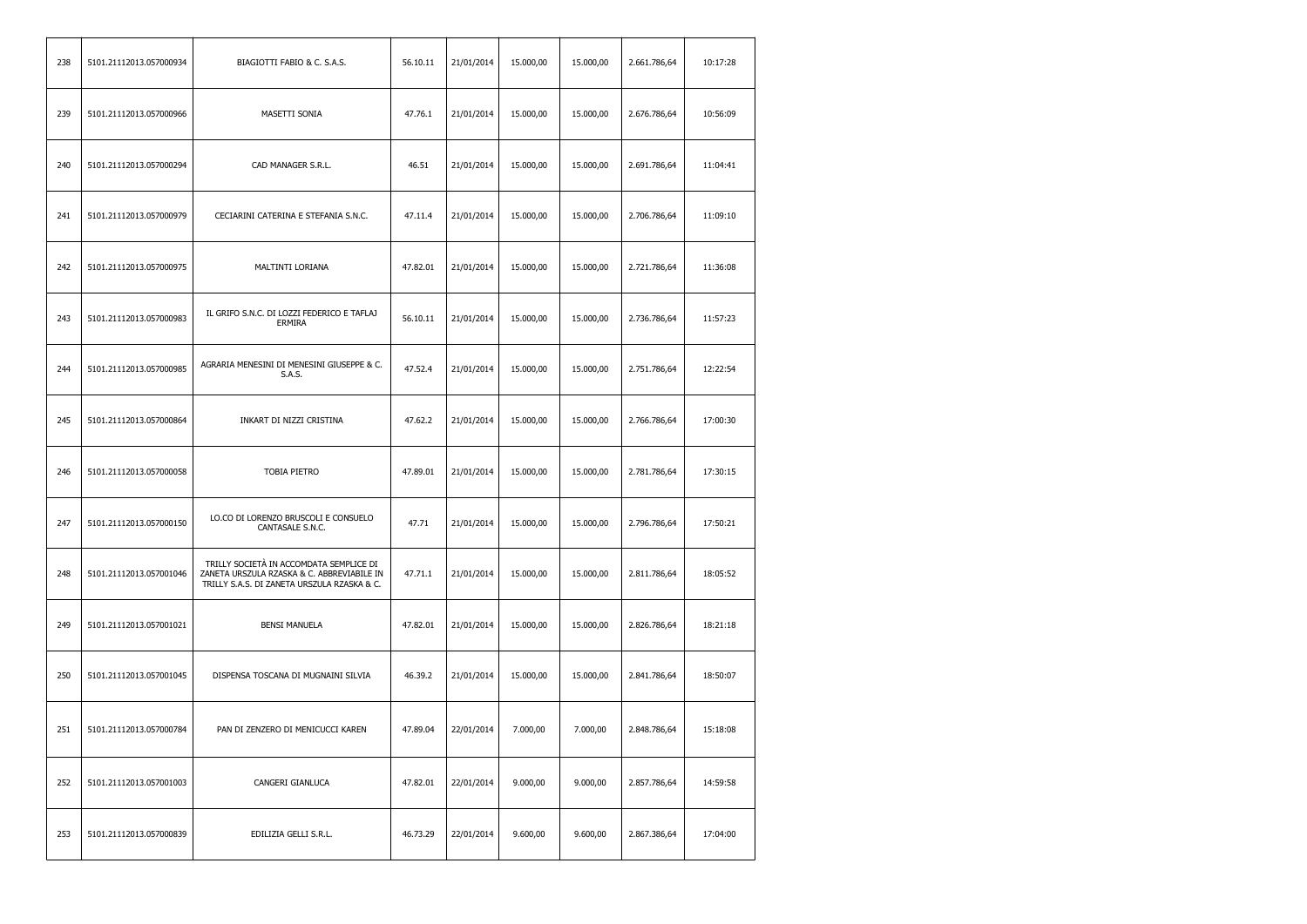| 238 | 5101.21112013.057000934 | BIAGIOTTI FABIO & C. S.A.S.                                                                                                          | 56.10.11 | 21/01/2014 | 15.000,00 | 15.000,00 | 2.661.786,64 | 10:17:28 |
|-----|-------------------------|--------------------------------------------------------------------------------------------------------------------------------------|----------|------------|-----------|-----------|--------------|----------|
| 239 | 5101.21112013.057000966 | MASETTI SONIA                                                                                                                        | 47.76.1  | 21/01/2014 | 15.000,00 | 15.000,00 | 2.676.786,64 | 10:56:09 |
| 240 | 5101.21112013.057000294 | CAD MANAGER S.R.L.                                                                                                                   | 46.51    | 21/01/2014 | 15.000,00 | 15.000,00 | 2.691.786,64 | 11:04:41 |
| 241 | 5101.21112013.057000979 | CECIARINI CATERINA E STEFANIA S.N.C.                                                                                                 | 47.11.4  | 21/01/2014 | 15.000,00 | 15.000,00 | 2.706.786,64 | 11:09:10 |
| 242 | 5101.21112013.057000975 | MALTINTI LORIANA                                                                                                                     | 47.82.01 | 21/01/2014 | 15.000,00 | 15.000,00 | 2.721.786,64 | 11:36:08 |
| 243 | 5101.21112013.057000983 | IL GRIFO S.N.C. DI LOZZI FEDERICO E TAFLAJ<br><b>ERMIRA</b>                                                                          | 56.10.11 | 21/01/2014 | 15.000,00 | 15.000,00 | 2.736.786,64 | 11:57:23 |
| 244 | 5101.21112013.057000985 | AGRARIA MENESINI DI MENESINI GIUSEPPE & C.<br>S.A.S.                                                                                 | 47.52.4  | 21/01/2014 | 15.000,00 | 15.000,00 | 2.751.786,64 | 12:22:54 |
| 245 | 5101.21112013.057000864 | INKART DI NIZZI CRISTINA                                                                                                             | 47.62.2  | 21/01/2014 | 15.000,00 | 15.000,00 | 2.766.786,64 | 17:00:30 |
| 246 | 5101.21112013.057000058 | <b>TOBIA PIETRO</b>                                                                                                                  | 47.89.01 | 21/01/2014 | 15.000,00 | 15.000,00 | 2.781.786,64 | 17:30:15 |
| 247 | 5101.21112013.057000150 | LO.CO DI LORENZO BRUSCOLI E CONSUELO<br>CANTASALE S.N.C.                                                                             | 47.71    | 21/01/2014 | 15.000,00 | 15.000,00 | 2.796.786,64 | 17:50:21 |
| 248 | 5101.21112013.057001046 | TRILLY SOCIETÀ IN ACCOMDATA SEMPLICE DI<br>ZANETA URSZULA RZASKA & C. ABBREVIABILE IN<br>TRILLY S.A.S. DI ZANETA URSZULA RZASKA & C. | 47.71.1  | 21/01/2014 | 15.000,00 | 15.000,00 | 2.811.786,64 | 18:05:52 |
| 249 | 5101.21112013.057001021 | <b>BENSI MANUELA</b>                                                                                                                 | 47.82.01 | 21/01/2014 | 15.000,00 | 15.000,00 | 2.826.786,64 | 18:21:18 |
| 250 | 5101.21112013.057001045 | DISPENSA TOSCANA DI MUGNAINI SILVIA                                                                                                  | 46.39.2  | 21/01/2014 | 15.000,00 | 15.000,00 | 2.841.786,64 | 18:50:07 |
| 251 | 5101.21112013.057000784 | PAN DI ZENZERO DI MENICUCCI KAREN                                                                                                    | 47.89.04 | 22/01/2014 | 7.000,00  | 7.000,00  | 2.848.786,64 | 15:18:08 |
| 252 | 5101.21112013.057001003 | CANGERI GIANLUCA                                                                                                                     | 47.82.01 | 22/01/2014 | 9.000,00  | 9.000,00  | 2.857.786,64 | 14:59:58 |
| 253 | 5101.21112013.057000839 | EDILIZIA GELLI S.R.L.                                                                                                                | 46.73.29 | 22/01/2014 | 9.600,00  | 9.600,00  | 2.867.386,64 | 17:04:00 |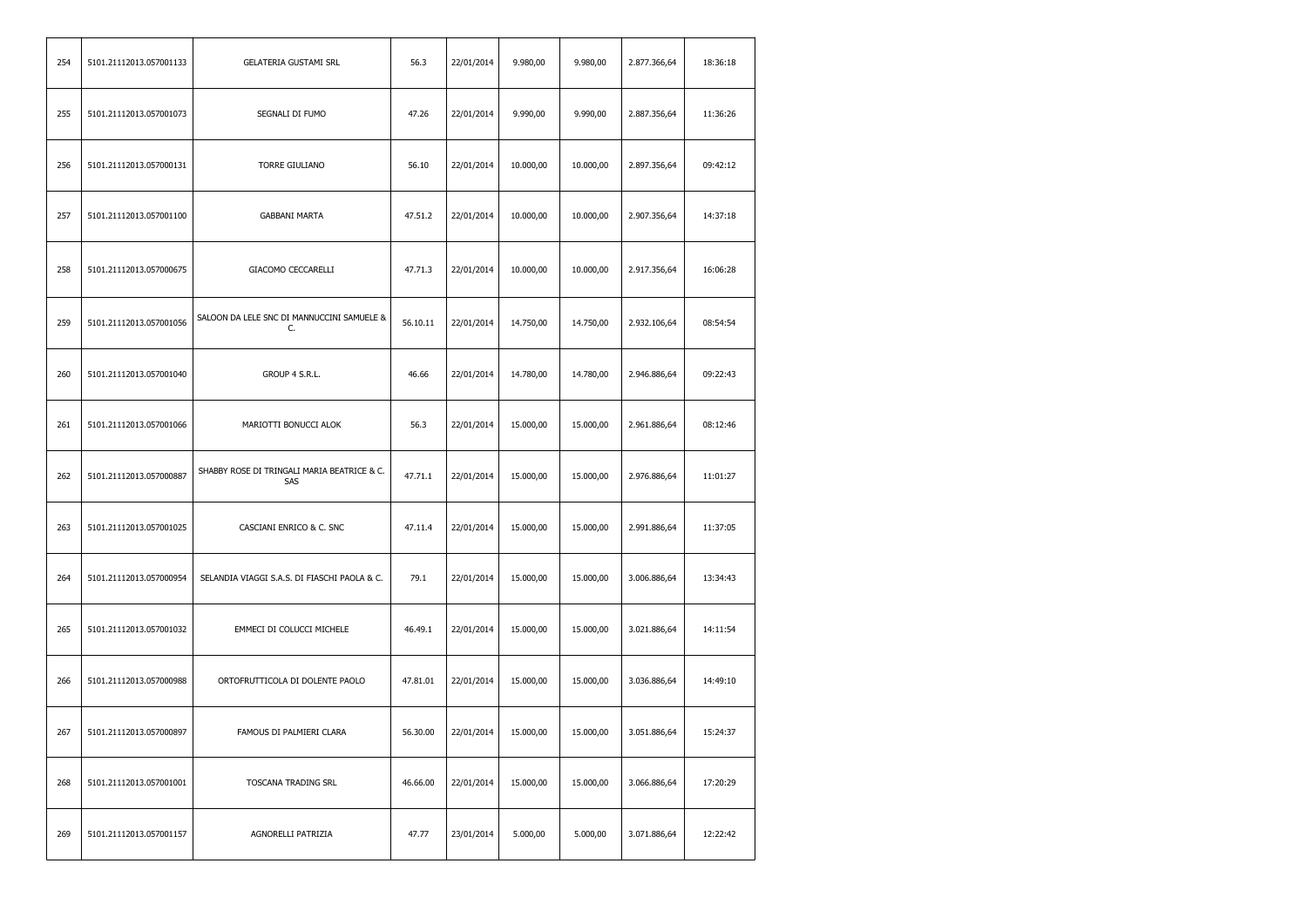| 254 | 5101.21112013.057001133 | <b>GELATERIA GUSTAMI SRL</b>                              | 56.3     | 22/01/2014 | 9.980,00  | 9.980,00  | 2.877.366,64 | 18:36:18 |
|-----|-------------------------|-----------------------------------------------------------|----------|------------|-----------|-----------|--------------|----------|
| 255 | 5101.21112013.057001073 | SEGNALI DI FUMO                                           | 47.26    | 22/01/2014 | 9.990,00  | 9.990,00  | 2.887.356,64 | 11:36:26 |
| 256 | 5101.21112013.057000131 | <b>TORRE GIULIANO</b>                                     | 56.10    | 22/01/2014 | 10.000,00 | 10.000,00 | 2.897.356,64 | 09:42:12 |
| 257 | 5101.21112013.057001100 | <b>GABBANI MARTA</b>                                      | 47.51.2  | 22/01/2014 | 10.000,00 | 10.000,00 | 2.907.356,64 | 14:37:18 |
| 258 | 5101.21112013.057000675 | GIACOMO CECCARELLI                                        | 47.71.3  | 22/01/2014 | 10.000,00 | 10.000,00 | 2.917.356,64 | 16:06:28 |
| 259 | 5101.21112013.057001056 | SALOON DA LELE SNC DI MANNUCCINI SAMUELE &<br>C.          | 56.10.11 | 22/01/2014 | 14.750,00 | 14.750,00 | 2.932.106,64 | 08:54:54 |
| 260 | 5101.21112013.057001040 | GROUP 4 S.R.L.                                            | 46.66    | 22/01/2014 | 14.780,00 | 14.780,00 | 2.946.886,64 | 09:22:43 |
| 261 | 5101.21112013.057001066 | MARIOTTI BONUCCI ALOK                                     | 56.3     | 22/01/2014 | 15.000,00 | 15.000,00 | 2.961.886,64 | 08:12:46 |
| 262 | 5101.21112013.057000887 | SHABBY ROSE DI TRINGALI MARIA BEATRICE & C.<br><b>SAS</b> | 47.71.1  | 22/01/2014 | 15.000,00 | 15.000,00 | 2.976.886,64 | 11:01:27 |
| 263 | 5101.21112013.057001025 | CASCIANI ENRICO & C. SNC                                  | 47.11.4  | 22/01/2014 | 15.000,00 | 15.000,00 | 2.991.886,64 | 11:37:05 |
| 264 | 5101.21112013.057000954 | SELANDIA VIAGGI S.A.S. DI FIASCHI PAOLA & C.              | 79.1     | 22/01/2014 | 15.000,00 | 15.000,00 | 3.006.886,64 | 13:34:43 |
| 265 | 5101.21112013.057001032 | EMMECI DI COLUCCI MICHELE                                 | 46.49.1  | 22/01/2014 | 15.000,00 | 15.000,00 | 3.021.886,64 | 14:11:54 |
| 266 | 5101.21112013.057000988 | ORTOFRUTTICOLA DI DOLENTE PAOLO                           | 47.81.01 | 22/01/2014 | 15.000,00 | 15.000,00 | 3.036.886,64 | 14:49:10 |
| 267 | 5101.21112013.057000897 | FAMOUS DI PALMIERI CLARA                                  | 56.30.00 | 22/01/2014 | 15.000,00 | 15.000,00 | 3.051.886,64 | 15:24:37 |
| 268 | 5101.21112013.057001001 | TOSCANA TRADING SRL                                       | 46.66.00 | 22/01/2014 | 15.000,00 | 15.000,00 | 3.066.886,64 | 17:20:29 |
| 269 | 5101.21112013.057001157 | AGNORELLI PATRIZIA                                        | 47.77    | 23/01/2014 | 5.000,00  | 5.000,00  | 3.071.886,64 | 12:22:42 |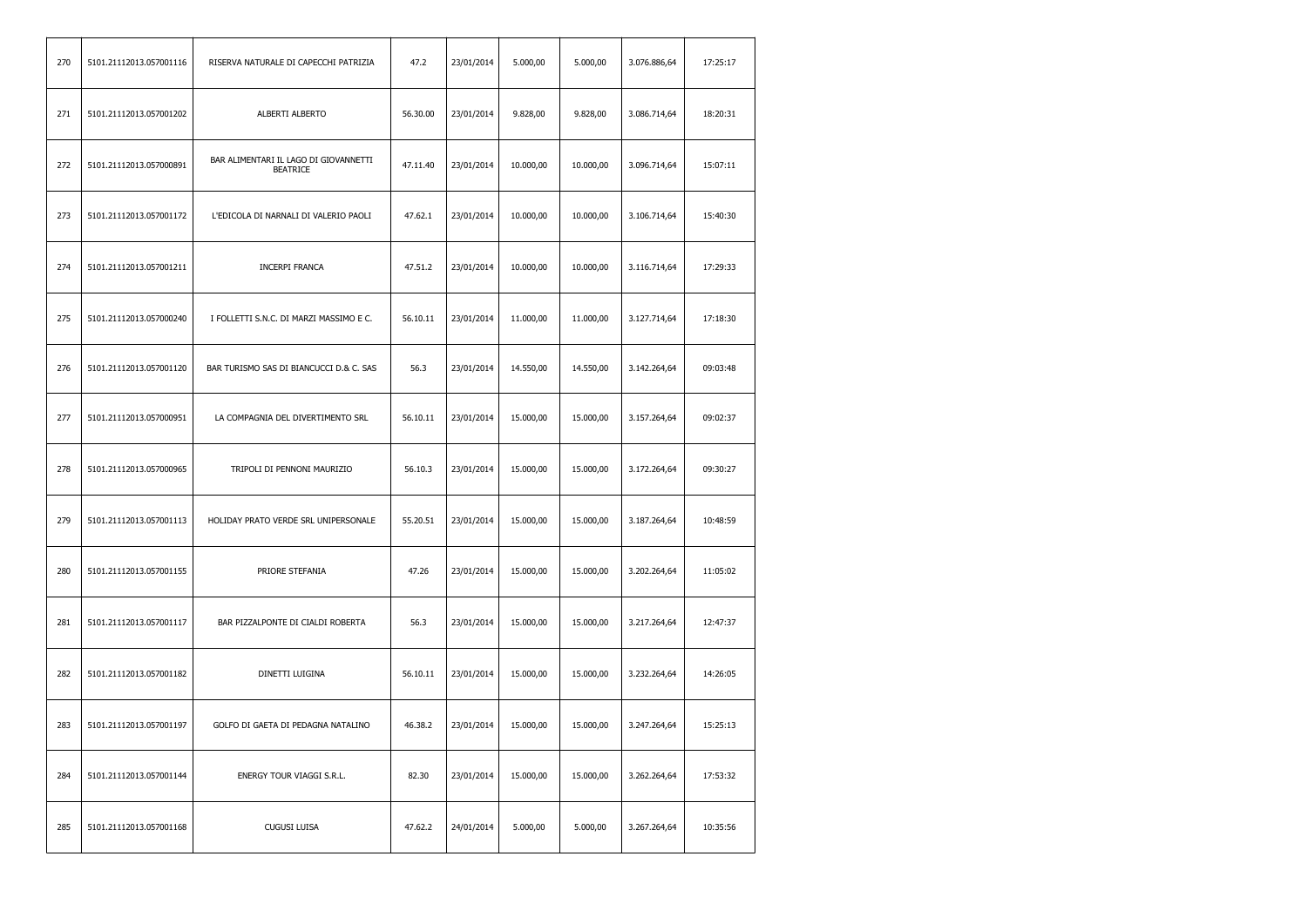| 270 | 5101.21112013.057001116 | RISERVA NATURALE DI CAPECCHI PATRIZIA                    | 47.2     | 23/01/2014 | 5.000,00  | 5.000,00  | 3.076.886,64 | 17:25:17 |
|-----|-------------------------|----------------------------------------------------------|----------|------------|-----------|-----------|--------------|----------|
| 271 | 5101.21112013.057001202 | ALBERTI ALBERTO                                          | 56.30.00 | 23/01/2014 | 9.828,00  | 9.828,00  | 3.086.714,64 | 18:20:31 |
| 272 | 5101.21112013.057000891 | BAR ALIMENTARI IL LAGO DI GIOVANNETTI<br><b>BEATRICE</b> | 47.11.40 | 23/01/2014 | 10.000,00 | 10.000,00 | 3.096.714,64 | 15:07:11 |
| 273 | 5101.21112013.057001172 | L'EDICOLA DI NARNALI DI VALERIO PAOLI                    | 47.62.1  | 23/01/2014 | 10.000,00 | 10.000,00 | 3.106.714,64 | 15:40:30 |
| 274 | 5101.21112013.057001211 | <b>INCERPI FRANCA</b>                                    | 47.51.2  | 23/01/2014 | 10.000,00 | 10.000,00 | 3.116.714,64 | 17:29:33 |
| 275 | 5101.21112013.057000240 | I FOLLETTI S.N.C. DI MARZI MASSIMO E C.                  | 56.10.11 | 23/01/2014 | 11.000,00 | 11.000,00 | 3.127.714,64 | 17:18:30 |
| 276 | 5101.21112013.057001120 | BAR TURISMO SAS DI BIANCUCCI D.& C. SAS                  | 56.3     | 23/01/2014 | 14.550,00 | 14.550,00 | 3.142.264,64 | 09:03:48 |
| 277 | 5101.21112013.057000951 | LA COMPAGNIA DEL DIVERTIMENTO SRL                        | 56.10.11 | 23/01/2014 | 15.000,00 | 15.000,00 | 3.157.264,64 | 09:02:37 |
| 278 | 5101.21112013.057000965 | TRIPOLI DI PENNONI MAURIZIO                              | 56.10.3  | 23/01/2014 | 15.000,00 | 15.000,00 | 3.172.264,64 | 09:30:27 |
| 279 | 5101.21112013.057001113 | HOLIDAY PRATO VERDE SRL UNIPERSONALE                     | 55.20.51 | 23/01/2014 | 15.000,00 | 15.000,00 | 3.187.264,64 | 10:48:59 |
| 280 | 5101.21112013.057001155 | PRIORE STEFANIA                                          | 47.26    | 23/01/2014 | 15.000,00 | 15.000,00 | 3.202.264,64 | 11:05:02 |
| 281 | 5101.21112013.057001117 | BAR PIZZALPONTE DI CIALDI ROBERTA                        | 56.3     | 23/01/2014 | 15.000,00 | 15.000,00 | 3.217.264,64 | 12:47:37 |
| 282 | 5101.21112013.057001182 | DINETTI LUIGINA                                          | 56.10.11 | 23/01/2014 | 15.000,00 | 15.000,00 | 3.232.264,64 | 14:26:05 |
| 283 | 5101.21112013.057001197 | GOLFO DI GAETA DI PEDAGNA NATALINO                       | 46.38.2  | 23/01/2014 | 15.000,00 | 15.000,00 | 3.247.264,64 | 15:25:13 |
| 284 | 5101.21112013.057001144 | ENERGY TOUR VIAGGI S.R.L.                                | 82.30    | 23/01/2014 | 15.000,00 | 15.000,00 | 3.262.264,64 | 17:53:32 |
| 285 | 5101.21112013.057001168 | CUGUSI LUISA                                             | 47.62.2  | 24/01/2014 | 5.000,00  | 5.000,00  | 3.267.264,64 | 10:35:56 |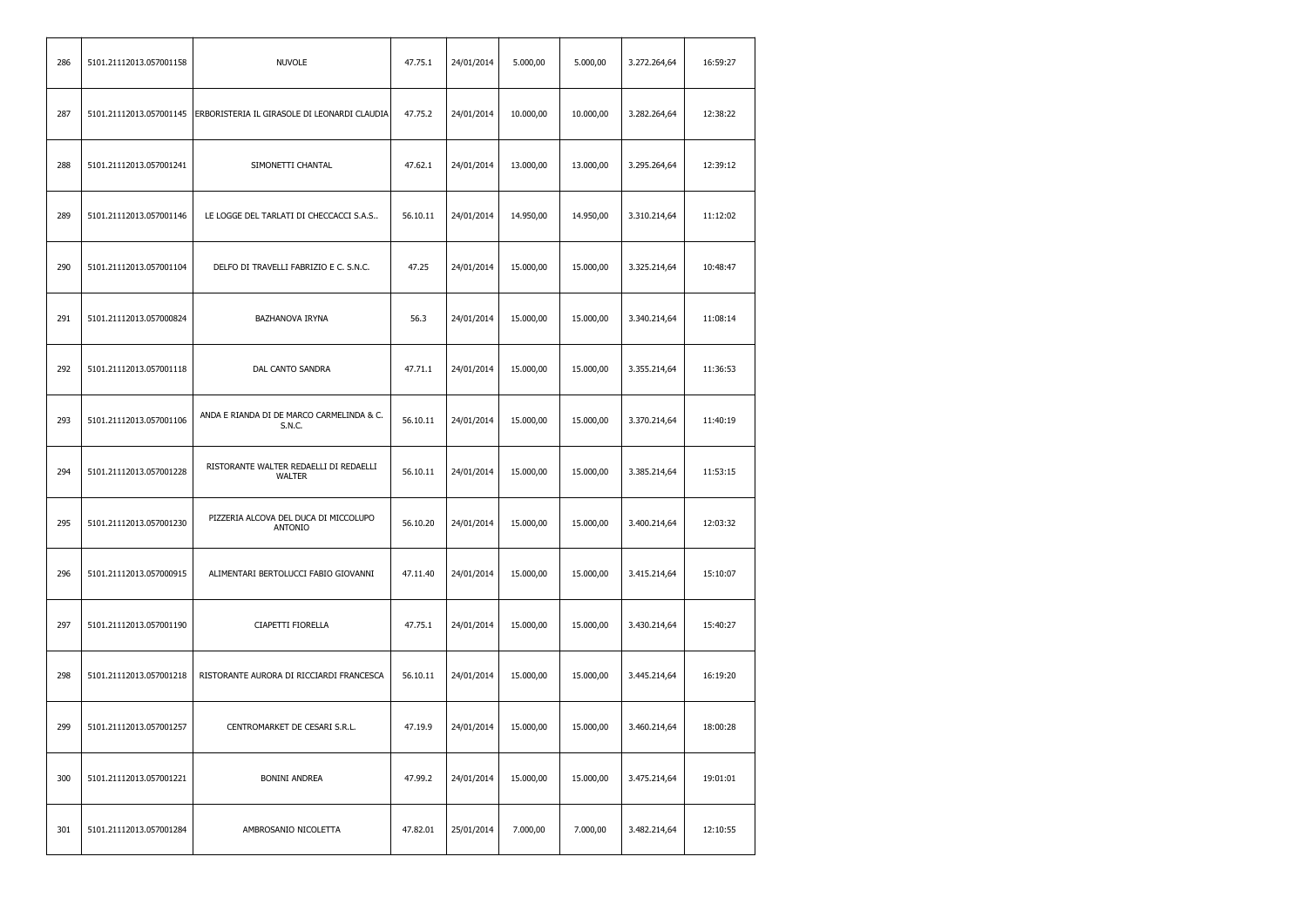| 286 | 5101.21112013.057001158 | NUVOLE                                                  | 47.75.1  | 24/01/2014 | 5.000,00  | 5.000,00  | 3.272.264,64 | 16:59:27 |
|-----|-------------------------|---------------------------------------------------------|----------|------------|-----------|-----------|--------------|----------|
| 287 | 5101.21112013.057001145 | ERBORISTERIA IL GIRASOLE DI LEONARDI CLAUDIA            | 47.75.2  | 24/01/2014 | 10.000,00 | 10.000,00 | 3.282.264,64 | 12:38:22 |
| 288 | 5101.21112013.057001241 | SIMONETTI CHANTAL                                       | 47.62.1  | 24/01/2014 | 13.000,00 | 13.000,00 | 3.295.264,64 | 12:39:12 |
| 289 | 5101.21112013.057001146 | LE LOGGE DEL TARLATI DI CHECCACCI S.A.S                 | 56.10.11 | 24/01/2014 | 14.950,00 | 14.950,00 | 3.310.214,64 | 11:12:02 |
| 290 | 5101.21112013.057001104 | DELFO DI TRAVELLI FABRIZIO E C. S.N.C.                  | 47.25    | 24/01/2014 | 15.000,00 | 15.000,00 | 3.325.214,64 | 10:48:47 |
| 291 | 5101.21112013.057000824 | BAZHANOVA IRYNA                                         | 56.3     | 24/01/2014 | 15.000,00 | 15.000,00 | 3.340.214,64 | 11:08:14 |
| 292 | 5101.21112013.057001118 | DAL CANTO SANDRA                                        | 47.71.1  | 24/01/2014 | 15.000,00 | 15.000,00 | 3.355.214,64 | 11:36:53 |
| 293 | 5101.21112013.057001106 | ANDA E RIANDA DI DE MARCO CARMELINDA & C.<br>S.N.C.     | 56.10.11 | 24/01/2014 | 15.000,00 | 15.000,00 | 3.370.214,64 | 11:40:19 |
| 294 | 5101.21112013.057001228 | RISTORANTE WALTER REDAELLI DI REDAELLI<br><b>WALTER</b> | 56.10.11 | 24/01/2014 | 15.000,00 | 15.000,00 | 3.385.214,64 | 11:53:15 |
| 295 | 5101.21112013.057001230 | PIZZERIA ALCOVA DEL DUCA DI MICCOLUPO<br>ANTONIO        | 56.10.20 | 24/01/2014 | 15.000,00 | 15.000,00 | 3.400.214,64 | 12:03:32 |
| 296 | 5101.21112013.057000915 | ALIMENTARI BERTOLUCCI FABIO GIOVANNI                    | 47.11.40 | 24/01/2014 | 15.000,00 | 15.000,00 | 3.415.214,64 | 15:10:07 |
| 297 | 5101.21112013.057001190 | CIAPETTI FIORELLA                                       | 47.75.1  | 24/01/2014 | 15.000,00 | 15.000,00 | 3.430.214,64 | 15:40:27 |
| 298 | 5101.21112013.057001218 | RISTORANTE AURORA DI RICCIARDI FRANCESCA                | 56.10.11 | 24/01/2014 | 15.000,00 | 15.000,00 | 3.445.214,64 | 16:19:20 |
| 299 | 5101.21112013.057001257 | CENTROMARKET DE CESARI S.R.L.                           | 47.19.9  | 24/01/2014 | 15.000,00 | 15.000,00 | 3.460.214,64 | 18:00:28 |
| 300 | 5101.21112013.057001221 | BONINI ANDREA                                           | 47.99.2  | 24/01/2014 | 15.000,00 | 15.000,00 | 3.475.214,64 | 19:01:01 |
| 301 | 5101.21112013.057001284 | AMBROSANIO NICOLETTA                                    | 47.82.01 | 25/01/2014 | 7.000,00  | 7.000,00  | 3.482.214,64 | 12:10:55 |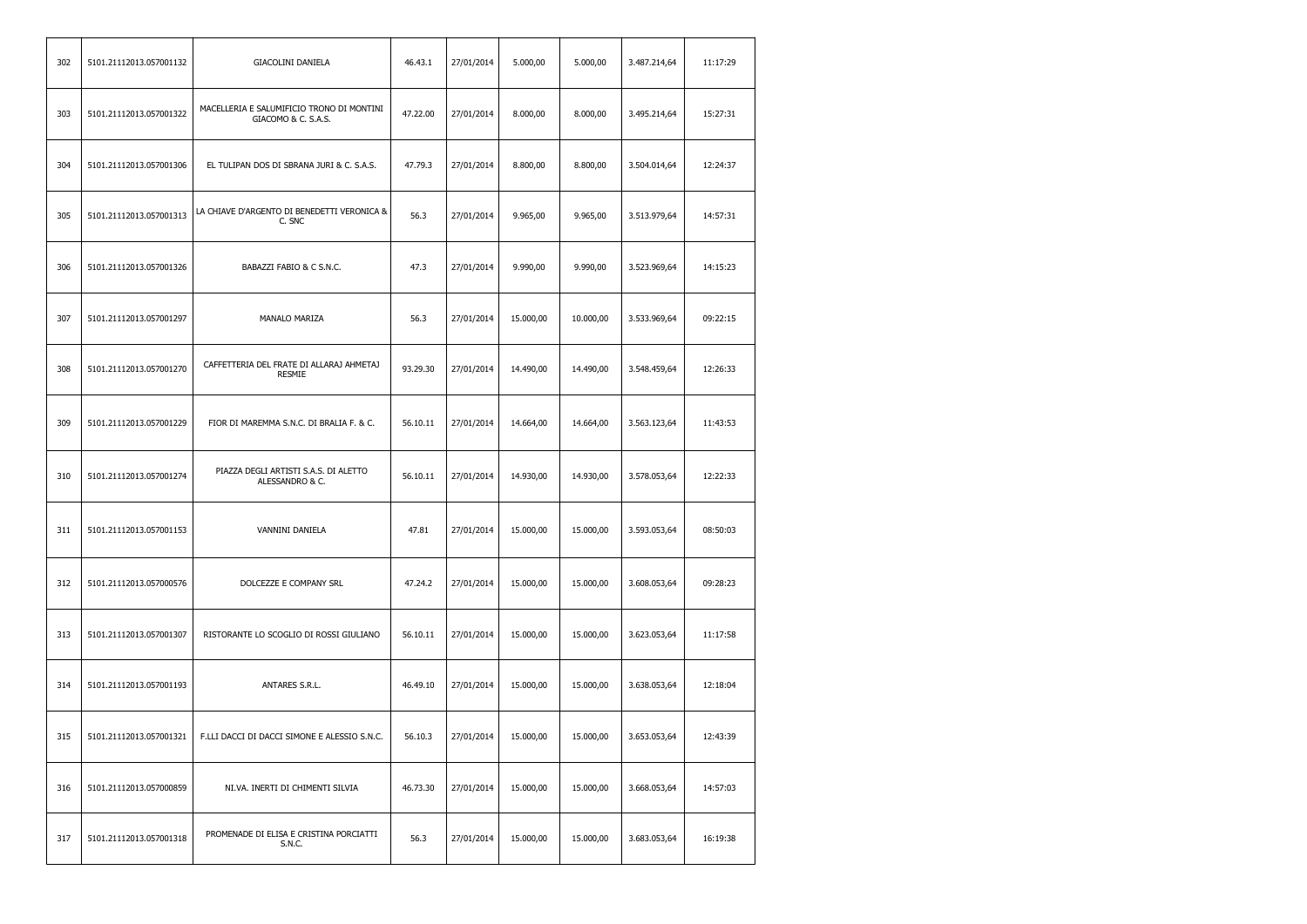| 302 | 5101.21112013.057001132 | <b>GIACOLINI DANIELA</b>                                         | 46.43.1  | 27/01/2014 | 5.000,00  | 5.000,00  | 3.487.214,64 | 11:17:29 |
|-----|-------------------------|------------------------------------------------------------------|----------|------------|-----------|-----------|--------------|----------|
| 303 | 5101.21112013.057001322 | MACELLERIA E SALUMIFICIO TRONO DI MONTINI<br>GIACOMO & C. S.A.S. | 47.22.00 | 27/01/2014 | 8.000,00  | 8.000,00  | 3.495.214,64 | 15:27:31 |
| 304 | 5101.21112013.057001306 | EL TULIPAN DOS DI SBRANA JURI & C. S.A.S.                        | 47.79.3  | 27/01/2014 | 8.800,00  | 8.800,00  | 3.504.014,64 | 12:24:37 |
| 305 | 5101.21112013.057001313 | LA CHIAVE D'ARGENTO DI BENEDETTI VERONICA &<br>C. SNC            | 56.3     | 27/01/2014 | 9.965,00  | 9.965,00  | 3.513.979,64 | 14:57:31 |
| 306 | 5101.21112013.057001326 | BABAZZI FABIO & C S.N.C.                                         | 47.3     | 27/01/2014 | 9.990,00  | 9.990,00  | 3.523.969,64 | 14:15:23 |
| 307 | 5101.21112013.057001297 | <b>MANALO MARIZA</b>                                             | 56.3     | 27/01/2014 | 15.000,00 | 10.000,00 | 3.533.969,64 | 09:22:15 |
| 308 | 5101.21112013.057001270 | CAFFETTERIA DEL FRATE DI ALLARAJ AHMETAJ<br><b>RESMIE</b>        | 93.29.30 | 27/01/2014 | 14.490,00 | 14.490,00 | 3.548.459,64 | 12:26:33 |
| 309 | 5101.21112013.057001229 | FIOR DI MAREMMA S.N.C. DI BRALIA F. & C.                         | 56.10.11 | 27/01/2014 | 14.664,00 | 14.664,00 | 3.563.123,64 | 11:43:53 |
| 310 | 5101.21112013.057001274 | PIAZZA DEGLI ARTISTI S.A.S. DI ALETTO<br>ALESSANDRO & C.         | 56.10.11 | 27/01/2014 | 14.930,00 | 14.930,00 | 3.578.053,64 | 12:22:33 |
| 311 | 5101.21112013.057001153 | VANNINI DANIELA                                                  | 47.81    | 27/01/2014 | 15.000,00 | 15.000,00 | 3.593.053,64 | 08:50:03 |
| 312 | 5101.21112013.057000576 | DOLCEZZE E COMPANY SRL                                           | 47.24.2  | 27/01/2014 | 15.000,00 | 15.000,00 | 3.608.053,64 | 09:28:23 |
| 313 | 5101.21112013.057001307 | RISTORANTE LO SCOGLIO DI ROSSI GIULIANO                          | 56.10.11 | 27/01/2014 | 15.000,00 | 15.000,00 | 3.623.053,64 | 11:17:58 |
| 314 | 5101.21112013.057001193 | ANTARES S.R.L.                                                   | 46.49.10 | 27/01/2014 | 15.000,00 | 15.000,00 | 3.638.053,64 | 12:18:04 |
| 315 | 5101.21112013.057001321 | F.LLI DACCI DI DACCI SIMONE E ALESSIO S.N.C.                     | 56.10.3  | 27/01/2014 | 15.000,00 | 15.000,00 | 3.653.053,64 | 12:43:39 |
| 316 | 5101.21112013.057000859 | NI.VA. INERTI DI CHIMENTI SILVIA                                 | 46.73.30 | 27/01/2014 | 15.000,00 | 15.000,00 | 3.668.053,64 | 14:57:03 |
| 317 | 5101.21112013.057001318 | PROMENADE DI ELISA E CRISTINA PORCIATTI<br>S.N.C.                | 56.3     | 27/01/2014 | 15.000,00 | 15.000,00 | 3.683.053,64 | 16:19:38 |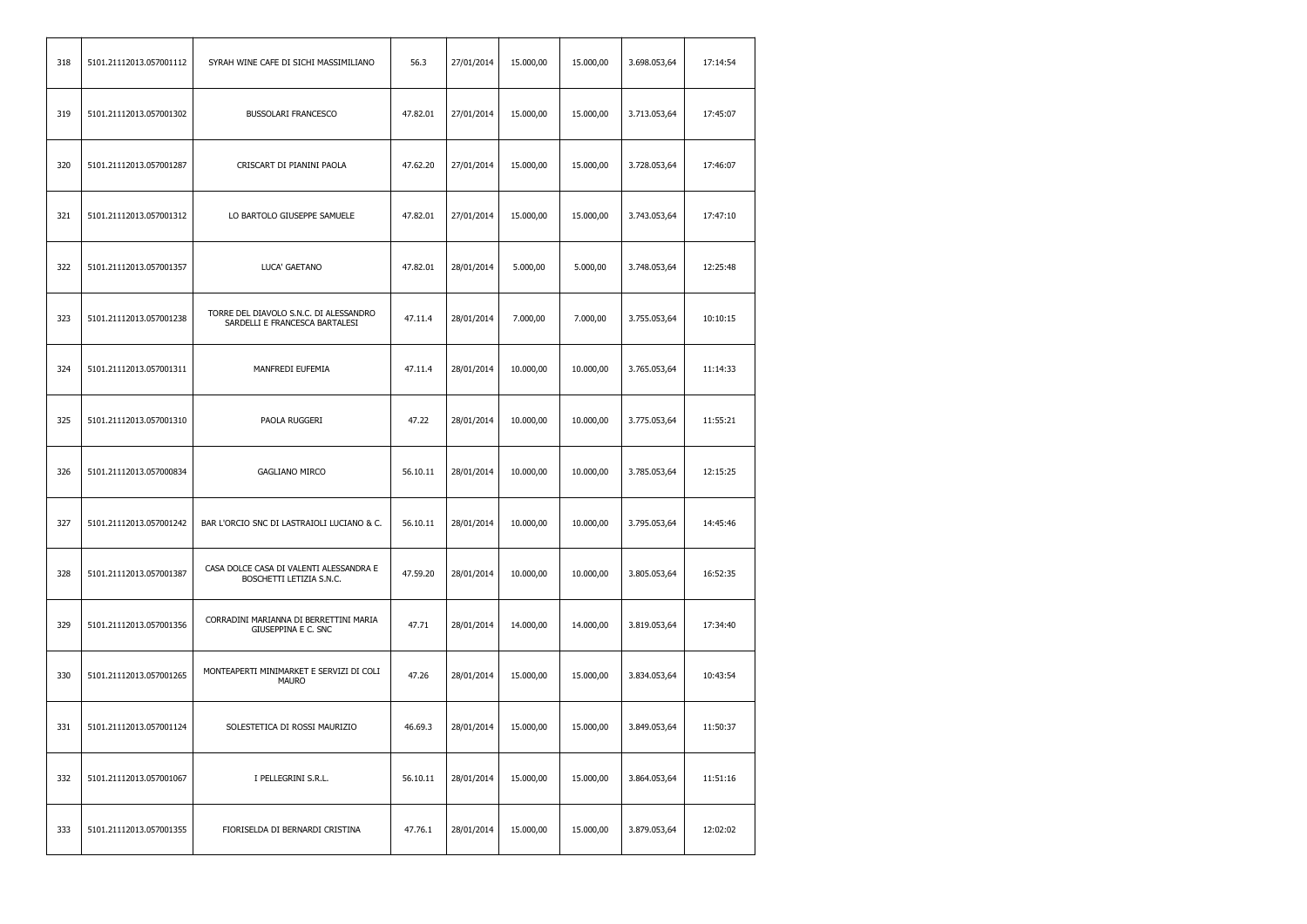| 318 | 5101.21112013.057001112 | SYRAH WINE CAFE DI SICHI MASSIMILIANO                                    | 56.3     | 27/01/2014 | 15.000,00 | 15.000,00 | 3.698.053,64 | 17:14:54 |
|-----|-------------------------|--------------------------------------------------------------------------|----------|------------|-----------|-----------|--------------|----------|
| 319 | 5101.21112013.057001302 | <b>BUSSOLARI FRANCESCO</b>                                               | 47.82.01 | 27/01/2014 | 15.000,00 | 15.000,00 | 3.713.053,64 | 17:45:07 |
| 320 | 5101.21112013.057001287 | CRISCART DI PIANINI PAOLA                                                | 47.62.20 | 27/01/2014 | 15.000,00 | 15.000,00 | 3.728.053,64 | 17:46:07 |
| 321 | 5101.21112013.057001312 | LO BARTOLO GIUSEPPE SAMUELE                                              | 47.82.01 | 27/01/2014 | 15.000,00 | 15.000,00 | 3.743.053,64 | 17:47:10 |
| 322 | 5101.21112013.057001357 | LUCA' GAETANO                                                            | 47.82.01 | 28/01/2014 | 5.000,00  | 5.000,00  | 3.748.053,64 | 12:25:48 |
| 323 | 5101.21112013.057001238 | TORRE DEL DIAVOLO S.N.C. DI ALESSANDRO<br>SARDELLI E FRANCESCA BARTALESI | 47.11.4  | 28/01/2014 | 7.000,00  | 7.000,00  | 3.755.053,64 | 10:10:15 |
| 324 | 5101.21112013.057001311 | MANFREDI EUFEMIA                                                         | 47.11.4  | 28/01/2014 | 10.000,00 | 10.000,00 | 3.765.053,64 | 11:14:33 |
| 325 | 5101.21112013.057001310 | PAOLA RUGGERI                                                            | 47.22    | 28/01/2014 | 10.000,00 | 10.000,00 | 3.775.053,64 | 11:55:21 |
| 326 | 5101.21112013.057000834 | <b>GAGLIANO MIRCO</b>                                                    | 56.10.11 | 28/01/2014 | 10.000,00 | 10.000,00 | 3.785.053,64 | 12:15:25 |
| 327 | 5101.21112013.057001242 | BAR L'ORCIO SNC DI LASTRAIOLI LUCIANO & C.                               | 56.10.11 | 28/01/2014 | 10.000,00 | 10.000,00 | 3.795.053,64 | 14:45:46 |
| 328 | 5101.21112013.057001387 | CASA DOLCE CASA DI VALENTI ALESSANDRA E<br>BOSCHETTI LETIZIA S.N.C.      | 47.59.20 | 28/01/2014 | 10.000,00 | 10.000,00 | 3.805.053,64 | 16:52:35 |
| 329 | 5101.21112013.057001356 | CORRADINI MARIANNA DI BERRETTINI MARIA<br>GIUSEPPINA E C. SNC            | 47.71    | 28/01/2014 | 14.000,00 | 14.000,00 | 3.819.053,64 | 17:34:40 |
| 330 | 5101.21112013.057001265 | MONTEAPERTI MINIMARKET E SERVIZI DI COLI<br><b>MAURO</b>                 | 47.26    | 28/01/2014 | 15.000,00 | 15.000,00 | 3.834.053,64 | 10:43:54 |
| 331 | 5101.21112013.057001124 | SOLESTETICA DI ROSSI MAURIZIO                                            | 46.69.3  | 28/01/2014 | 15.000,00 | 15.000,00 | 3.849.053,64 | 11:50:37 |
| 332 | 5101.21112013.057001067 | I PELLEGRINI S.R.L.                                                      | 56.10.11 | 28/01/2014 | 15.000,00 | 15.000,00 | 3.864.053,64 | 11:51:16 |
| 333 | 5101.21112013.057001355 | FIORISELDA DI BERNARDI CRISTINA                                          | 47.76.1  | 28/01/2014 | 15.000,00 | 15.000,00 | 3.879.053,64 | 12:02:02 |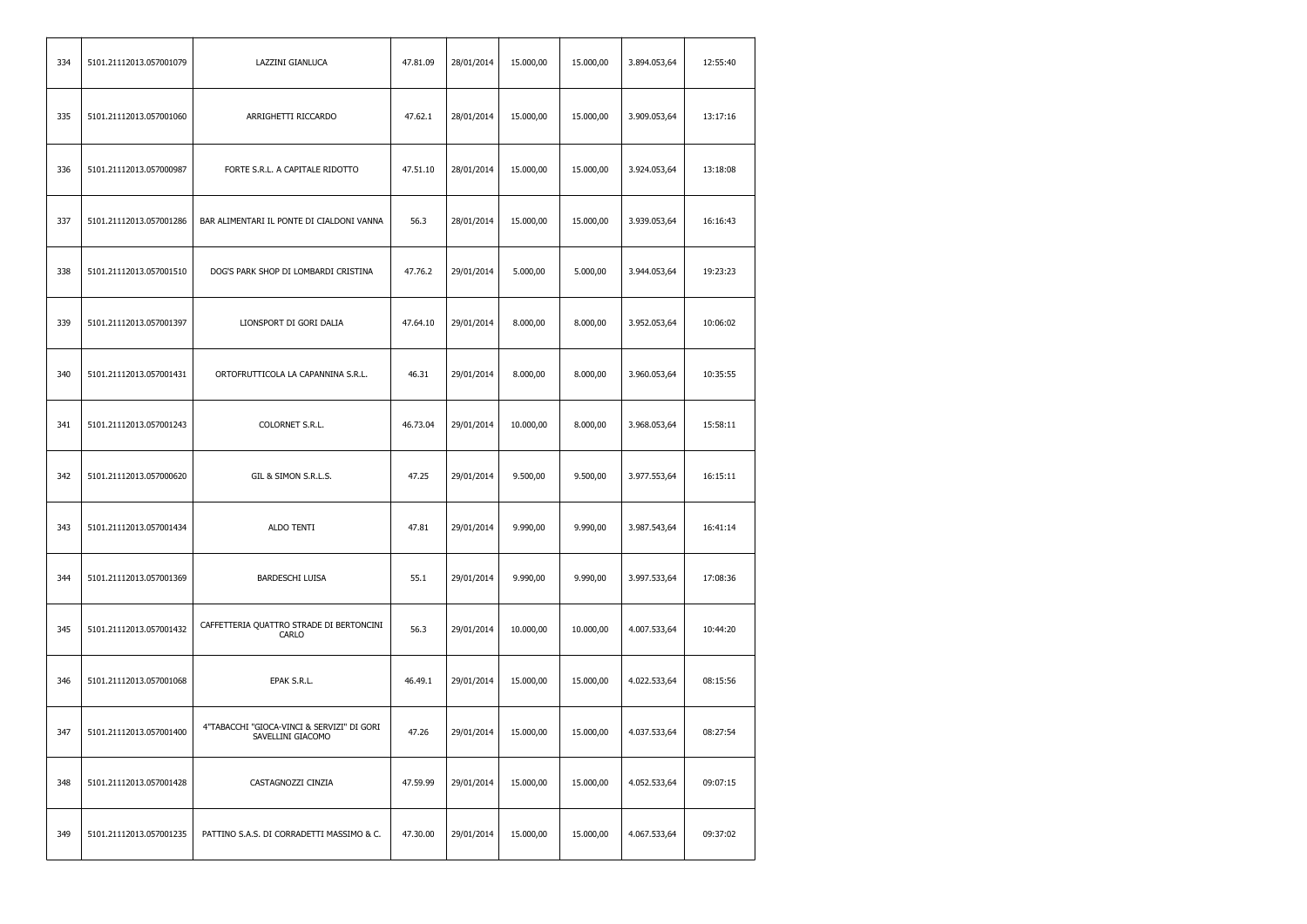| 334 | 5101.21112013.057001079 | LAZZINI GIANLUCA                                                | 47.81.09 | 28/01/2014 | 15.000,00 | 15.000,00 | 3.894.053,64 | 12:55:40 |
|-----|-------------------------|-----------------------------------------------------------------|----------|------------|-----------|-----------|--------------|----------|
| 335 | 5101.21112013.057001060 | ARRIGHETTI RICCARDO                                             | 47.62.1  | 28/01/2014 | 15.000,00 | 15.000,00 | 3.909.053,64 | 13:17:16 |
| 336 | 5101.21112013.057000987 | FORTE S.R.L. A CAPITALE RIDOTTO                                 | 47.51.10 | 28/01/2014 | 15.000,00 | 15.000,00 | 3.924.053,64 | 13:18:08 |
| 337 | 5101.21112013.057001286 | BAR ALIMENTARI IL PONTE DI CIALDONI VANNA                       | 56.3     | 28/01/2014 | 15.000,00 | 15.000,00 | 3.939.053,64 | 16:16:43 |
| 338 | 5101.21112013.057001510 | DOG'S PARK SHOP DI LOMBARDI CRISTINA                            | 47.76.2  | 29/01/2014 | 5.000,00  | 5.000,00  | 3.944.053,64 | 19:23:23 |
| 339 | 5101.21112013.057001397 | LIONSPORT DI GORI DALIA                                         | 47.64.10 | 29/01/2014 | 8.000,00  | 8.000,00  | 3.952.053,64 | 10:06:02 |
| 340 | 5101.21112013.057001431 | ORTOFRUTTICOLA LA CAPANNINA S.R.L.                              | 46.31    | 29/01/2014 | 8.000,00  | 8.000,00  | 3.960.053,64 | 10:35:55 |
| 341 | 5101.21112013.057001243 | COLORNET S.R.L.                                                 | 46.73.04 | 29/01/2014 | 10.000,00 | 8.000,00  | 3.968.053,64 | 15:58:11 |
| 342 | 5101.21112013.057000620 | GIL & SIMON S.R.L.S.                                            | 47.25    | 29/01/2014 | 9.500,00  | 9.500,00  | 3.977.553,64 | 16:15:11 |
| 343 | 5101.21112013.057001434 | ALDO TENTI                                                      | 47.81    | 29/01/2014 | 9.990,00  | 9.990,00  | 3.987.543,64 | 16:41:14 |
| 344 | 5101.21112013.057001369 | BARDESCHI LUISA                                                 | 55.1     | 29/01/2014 | 9.990,00  | 9.990,00  | 3.997.533,64 | 17:08:36 |
| 345 | 5101.21112013.057001432 | CAFFETTERIA QUATTRO STRADE DI BERTONCINI<br><b>CARLO</b>        | 56.3     | 29/01/2014 | 10.000,00 | 10.000,00 | 4.007.533,64 | 10:44:20 |
| 346 | 5101.21112013.057001068 | EPAK S.R.L.                                                     | 46.49.1  | 29/01/2014 | 15.000,00 | 15.000,00 | 4.022.533,64 | 08:15:56 |
| 347 | 5101.21112013.057001400 | 4"TABACCHI "GIOCA-VINCI & SERVIZI" DI GORI<br>SAVELLINI GIACOMO | 47.26    | 29/01/2014 | 15.000,00 | 15.000,00 | 4.037.533,64 | 08:27:54 |
| 348 | 5101.21112013.057001428 | CASTAGNOZZI CINZIA                                              | 47.59.99 | 29/01/2014 | 15.000,00 | 15.000,00 | 4.052.533,64 | 09:07:15 |
| 349 | 5101.21112013.057001235 | PATTINO S.A.S. DI CORRADETTI MASSIMO & C.                       | 47.30.00 | 29/01/2014 | 15.000,00 | 15.000,00 | 4.067.533,64 | 09:37:02 |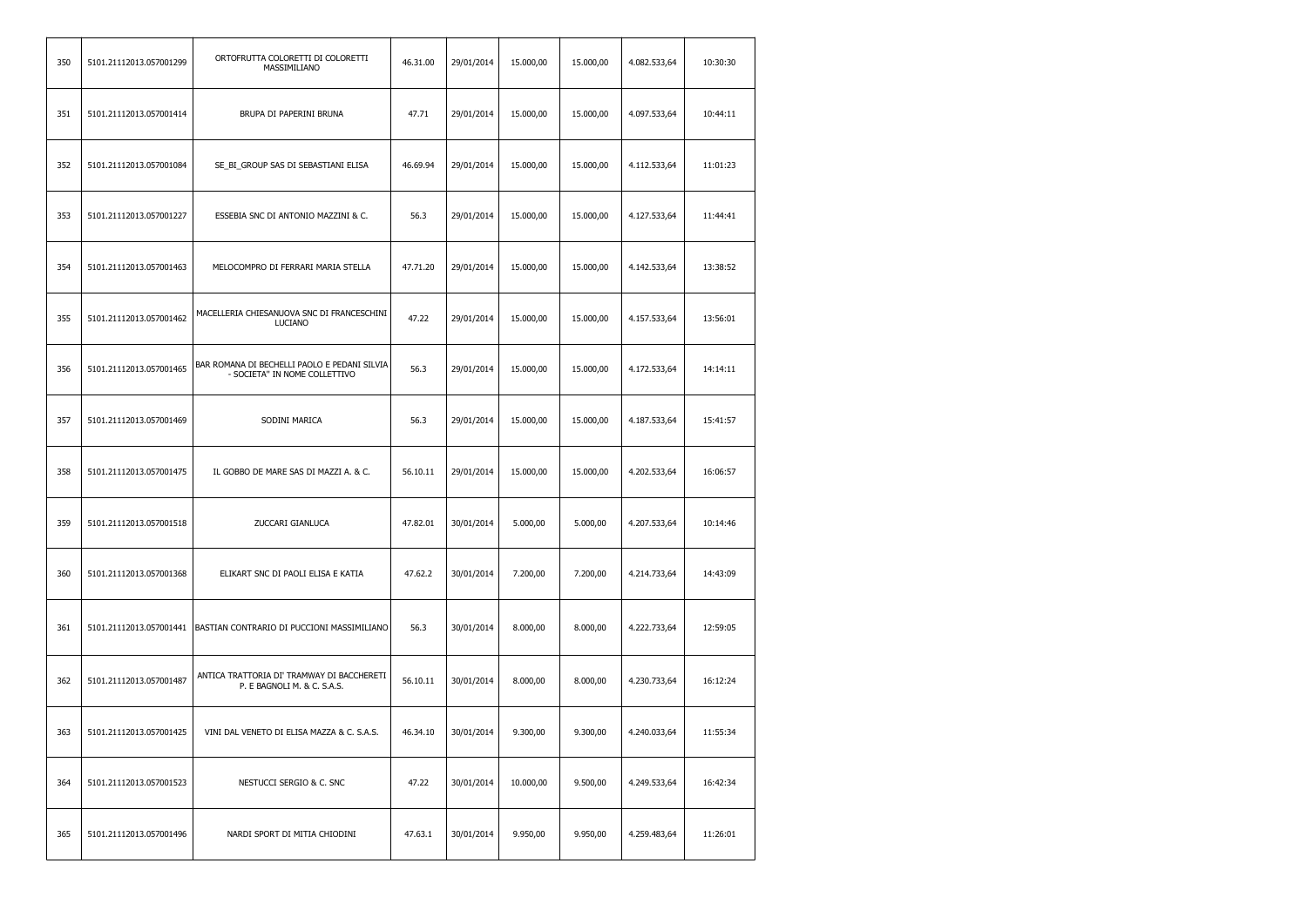| 350 | 5101.21112013.057001299 | ORTOFRUTTA COLORETTI DI COLORETTI<br>MASSIMILIANO                             | 46.31.00 | 29/01/2014 | 15.000,00 | 15.000,00 | 4.082.533,64 | 10:30:30 |
|-----|-------------------------|-------------------------------------------------------------------------------|----------|------------|-----------|-----------|--------------|----------|
| 351 | 5101.21112013.057001414 | BRUPA DI PAPERINI BRUNA                                                       | 47.71    | 29/01/2014 | 15.000,00 | 15.000,00 | 4.097.533,64 | 10:44:11 |
| 352 | 5101.21112013.057001084 | SE_BI_GROUP SAS DI SEBASTIANI ELISA                                           | 46.69.94 | 29/01/2014 | 15.000,00 | 15.000,00 | 4.112.533,64 | 11:01:23 |
| 353 | 5101.21112013.057001227 | ESSEBIA SNC DI ANTONIO MAZZINI & C.                                           | 56.3     | 29/01/2014 | 15.000,00 | 15.000,00 | 4.127.533,64 | 11:44:41 |
| 354 | 5101.21112013.057001463 | MELOCOMPRO DI FERRARI MARIA STELLA                                            | 47.71.20 | 29/01/2014 | 15.000,00 | 15.000,00 | 4.142.533,64 | 13:38:52 |
| 355 | 5101.21112013.057001462 | MACELLERIA CHIESANUOVA SNC DI FRANCESCHINI<br><b>LUCIANO</b>                  | 47.22    | 29/01/2014 | 15.000,00 | 15.000,00 | 4.157.533,64 | 13:56:01 |
| 356 | 5101.21112013.057001465 | BAR ROMANA DI BECHELLI PAOLO E PEDANI SILVIA<br>- SOCIETA" IN NOME COLLETTIVO | 56.3     | 29/01/2014 | 15.000,00 | 15.000,00 | 4.172.533,64 | 14:14:11 |
| 357 | 5101.21112013.057001469 | SODINI MARICA                                                                 | 56.3     | 29/01/2014 | 15.000,00 | 15.000,00 | 4.187.533,64 | 15:41:57 |
| 358 | 5101.21112013.057001475 | IL GOBBO DE MARE SAS DI MAZZI A. & C.                                         | 56.10.11 | 29/01/2014 | 15.000,00 | 15.000,00 | 4.202.533,64 | 16:06:57 |
| 359 | 5101.21112013.057001518 | ZUCCARI GIANLUCA                                                              | 47.82.01 | 30/01/2014 | 5.000,00  | 5.000,00  | 4.207.533,64 | 10:14:46 |
| 360 | 5101.21112013.057001368 | ELIKART SNC DI PAOLI ELISA E KATIA                                            | 47.62.2  | 30/01/2014 | 7.200,00  | 7.200,00  | 4.214.733,64 | 14:43:09 |
| 361 | 5101.21112013.057001441 | BASTIAN CONTRARIO DI PUCCIONI MASSIMILIANO                                    | 56.3     | 30/01/2014 | 8.000,00  | 8.000,00  | 4.222.733,64 | 12:59:05 |
| 362 | 5101.21112013.057001487 | ANTICA TRATTORIA DI' TRAMWAY DI BACCHERETI<br>P. E BAGNOLI M. & C. S.A.S.     | 56.10.11 | 30/01/2014 | 8.000,00  | 8.000,00  | 4.230.733,64 | 16:12:24 |
| 363 | 5101.21112013.057001425 | VINI DAL VENETO DI ELISA MAZZA & C. S.A.S.                                    | 46.34.10 | 30/01/2014 | 9.300,00  | 9.300,00  | 4.240.033,64 | 11:55:34 |
| 364 | 5101.21112013.057001523 | NESTUCCI SERGIO & C. SNC                                                      | 47.22    | 30/01/2014 | 10.000,00 | 9.500,00  | 4.249.533,64 | 16:42:34 |
| 365 | 5101.21112013.057001496 | NARDI SPORT DI MITIA CHIODINI                                                 | 47.63.1  | 30/01/2014 | 9.950,00  | 9.950,00  | 4.259.483,64 | 11:26:01 |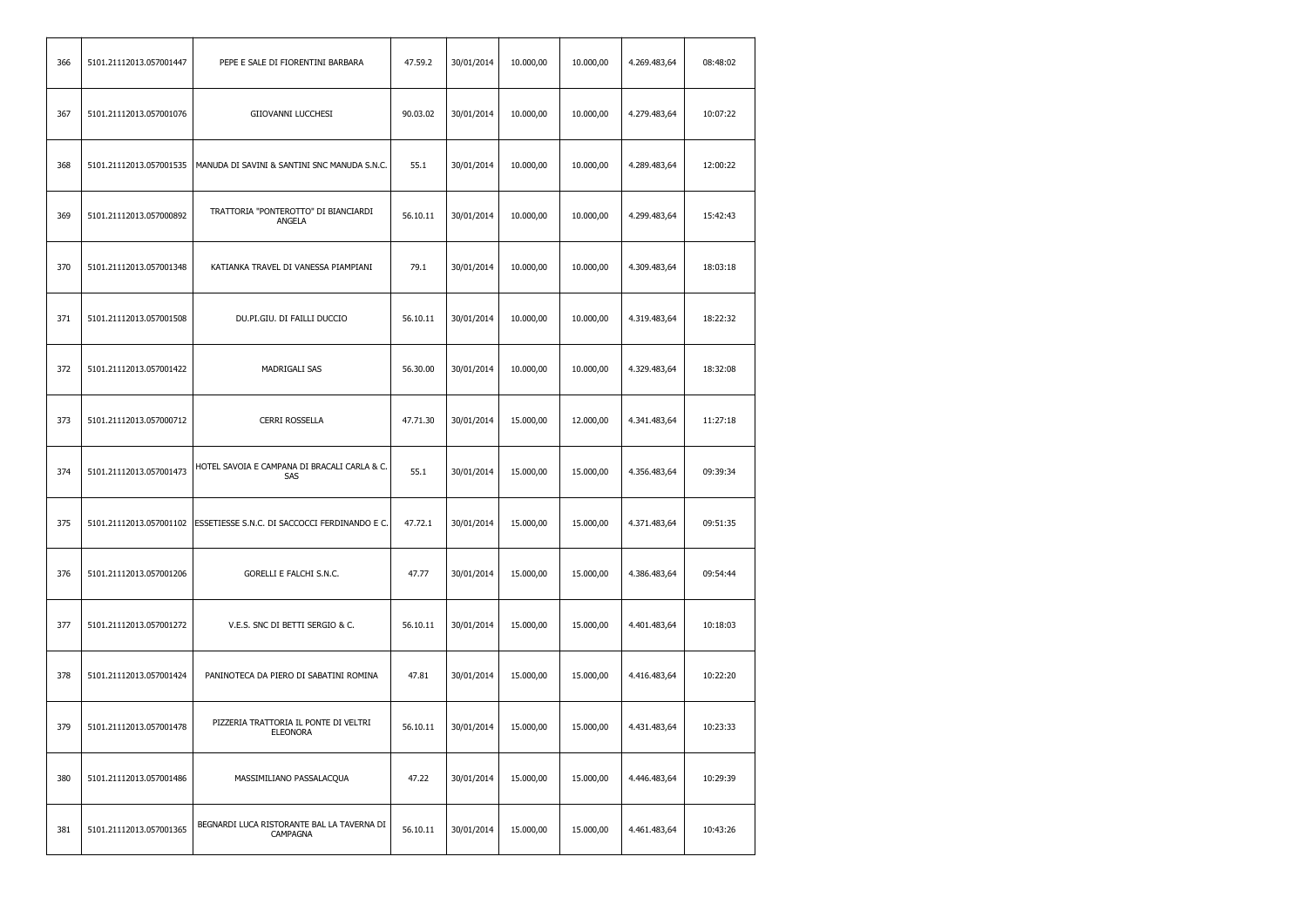| 366 | 5101.21112013.057001447 | PEPE E SALE DI FIORENTINI BARBARA                             | 47.59.2  | 30/01/2014 | 10.000,00 | 10.000,00 | 4.269.483,64 | 08:48:02 |
|-----|-------------------------|---------------------------------------------------------------|----------|------------|-----------|-----------|--------------|----------|
| 367 | 5101.21112013.057001076 | GIIOVANNI LUCCHESI                                            | 90.03.02 | 30/01/2014 | 10.000,00 | 10.000,00 | 4.279.483,64 | 10:07:22 |
| 368 | 5101.21112013.057001535 | MANUDA DI SAVINI & SANTINI SNC MANUDA S.N.C.                  | 55.1     | 30/01/2014 | 10.000,00 | 10.000,00 | 4.289.483,64 | 12:00:22 |
| 369 | 5101.21112013.057000892 | TRATTORIA "PONTEROTTO" DI BIANCIARDI<br>ANGELA                | 56.10.11 | 30/01/2014 | 10.000,00 | 10.000,00 | 4.299.483,64 | 15:42:43 |
| 370 | 5101.21112013.057001348 | KATIANKA TRAVEL DI VANESSA PIAMPIANI                          | 79.1     | 30/01/2014 | 10.000,00 | 10.000,00 | 4.309.483,64 | 18:03:18 |
| 371 | 5101.21112013.057001508 | DU.PI.GIU. DI FAILLI DUCCIO                                   | 56.10.11 | 30/01/2014 | 10.000,00 | 10.000,00 | 4.319.483,64 | 18:22:32 |
| 372 | 5101.21112013.057001422 | MADRIGALI SAS                                                 | 56.30.00 | 30/01/2014 | 10.000,00 | 10.000,00 | 4.329.483,64 | 18:32:08 |
| 373 | 5101.21112013.057000712 | CERRI ROSSELLA                                                | 47.71.30 | 30/01/2014 | 15.000,00 | 12.000,00 | 4.341.483,64 | 11:27:18 |
| 374 | 5101.21112013.057001473 | HOTEL SAVOIA E CAMPANA DI BRACALI CARLA & C.<br>SAS           | 55.1     | 30/01/2014 | 15.000,00 | 15.000,00 | 4.356.483,64 | 09:39:34 |
| 375 | 5101.21112013.057001102 | ESSETIESSE S.N.C. DI SACCOCCI FERDINANDO E C.                 | 47.72.1  | 30/01/2014 | 15.000,00 | 15.000,00 | 4.371.483,64 | 09:51:35 |
| 376 | 5101.21112013.057001206 | GORELLI E FALCHI S.N.C.                                       | 47.77    | 30/01/2014 | 15.000,00 | 15.000,00 | 4.386.483,64 | 09:54:44 |
| 377 | 5101.21112013.057001272 | V.E.S. SNC DI BETTI SERGIO & C.                               | 56.10.11 | 30/01/2014 | 15.000,00 | 15.000,00 | 4.401.483,64 | 10:18:03 |
| 378 | 5101.21112013.057001424 | PANINOTECA DA PIERO DI SABATINI ROMINA                        | 47.81    | 30/01/2014 | 15.000,00 | 15.000,00 | 4.416.483,64 | 10:22:20 |
| 379 | 5101.21112013.057001478 | PIZZERIA TRATTORIA IL PONTE DI VELTRI<br><b>ELEONORA</b>      | 56.10.11 | 30/01/2014 | 15.000,00 | 15.000,00 | 4.431.483,64 | 10:23:33 |
| 380 | 5101.21112013.057001486 | MASSIMILIANO PASSALACQUA                                      | 47.22    | 30/01/2014 | 15.000,00 | 15.000,00 | 4.446.483,64 | 10:29:39 |
| 381 | 5101.21112013.057001365 | BEGNARDI LUCA RISTORANTE BAL LA TAVERNA DI<br><b>CAMPAGNA</b> | 56.10.11 | 30/01/2014 | 15.000,00 | 15.000,00 | 4.461.483,64 | 10:43:26 |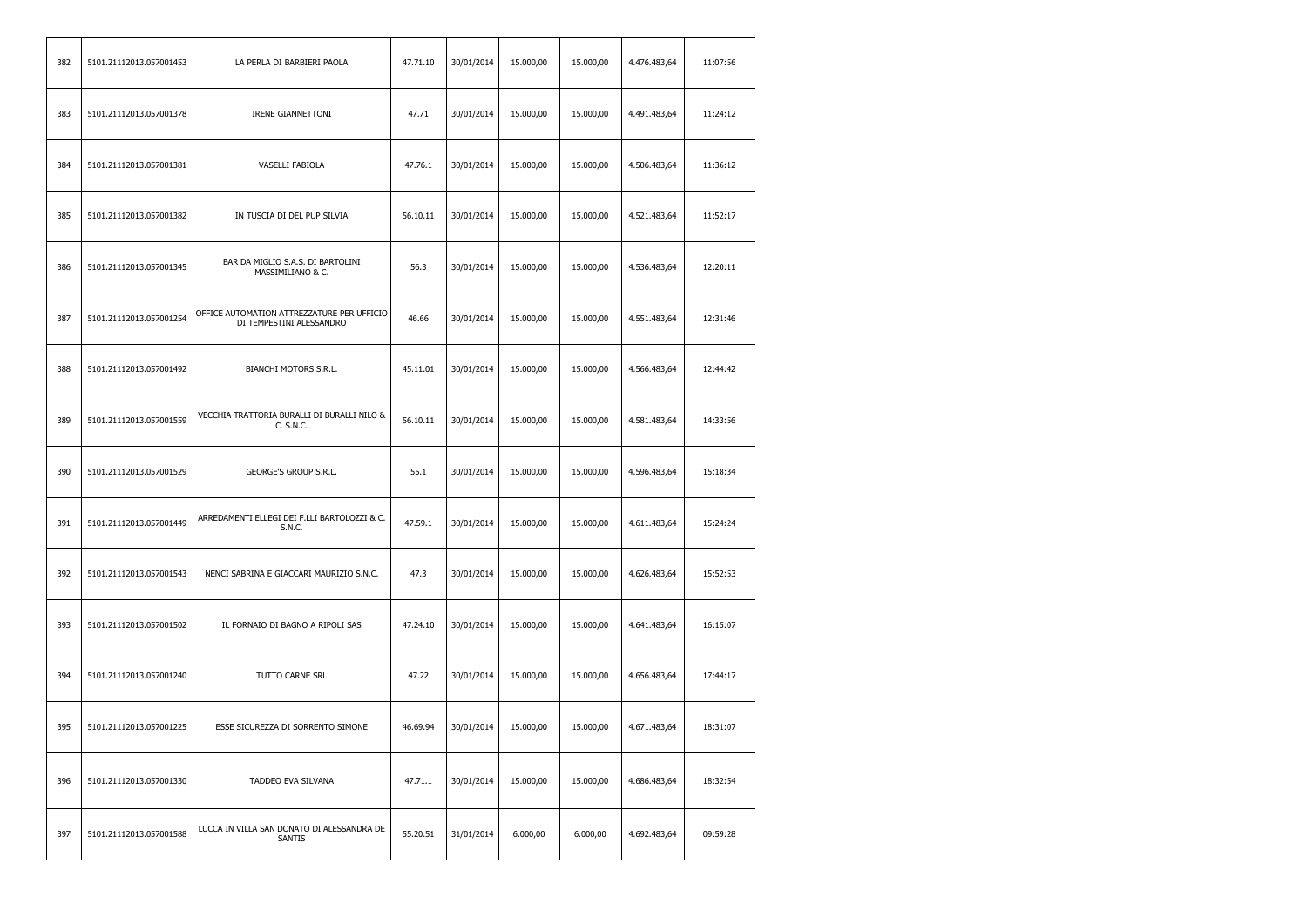| 382 | 5101.21112013.057001453 | LA PERLA DI BARBIERI PAOLA                                             | 47.71.10 | 30/01/2014 | 15.000,00 | 15.000,00 | 4.476.483,64 | 11:07:56 |
|-----|-------------------------|------------------------------------------------------------------------|----------|------------|-----------|-----------|--------------|----------|
| 383 | 5101.21112013.057001378 | <b>IRENE GIANNETTONI</b>                                               | 47.71    | 30/01/2014 | 15.000,00 | 15.000,00 | 4.491.483,64 | 11:24:12 |
| 384 | 5101.21112013.057001381 | VASELLI FABIOLA                                                        | 47.76.1  | 30/01/2014 | 15.000,00 | 15.000,00 | 4.506.483,64 | 11:36:12 |
| 385 | 5101.21112013.057001382 | IN TUSCIA DI DEL PUP SILVIA                                            | 56.10.11 | 30/01/2014 | 15.000,00 | 15.000,00 | 4.521.483,64 | 11:52:17 |
| 386 | 5101.21112013.057001345 | BAR DA MIGLIO S.A.S. DI BARTOLINI<br>MASSIMILIANO & C.                 | 56.3     | 30/01/2014 | 15.000,00 | 15.000,00 | 4.536.483,64 | 12:20:11 |
| 387 | 5101.21112013.057001254 | OFFICE AUTOMATION ATTREZZATURE PER UFFICIO<br>DI TEMPESTINI ALESSANDRO | 46.66    | 30/01/2014 | 15.000,00 | 15.000,00 | 4.551.483,64 | 12:31:46 |
| 388 | 5101.21112013.057001492 | BIANCHI MOTORS S.R.L.                                                  | 45.11.01 | 30/01/2014 | 15.000,00 | 15.000,00 | 4.566.483,64 | 12:44:42 |
| 389 | 5101.21112013.057001559 | VECCHIA TRATTORIA BURALLI DI BURALLI NILO &<br>C. S.N.C.               | 56.10.11 | 30/01/2014 | 15.000,00 | 15.000,00 | 4.581.483,64 | 14:33:56 |
| 390 | 5101.21112013.057001529 | <b>GEORGE'S GROUP S.R.L.</b>                                           | 55.1     | 30/01/2014 | 15.000,00 | 15.000,00 | 4.596.483,64 | 15:18:34 |
| 391 | 5101.21112013.057001449 | ARREDAMENTI ELLEGI DEI F.LLI BARTOLOZZI & C.<br>S.N.C.                 | 47.59.1  | 30/01/2014 | 15.000,00 | 15.000,00 | 4.611.483,64 | 15:24:24 |
| 392 | 5101.21112013.057001543 | NENCI SABRINA E GIACCARI MAURIZIO S.N.C.                               | 47.3     | 30/01/2014 | 15.000,00 | 15.000,00 | 4.626.483,64 | 15:52:53 |
| 393 | 5101.21112013.057001502 | IL FORNAIO DI BAGNO A RIPOLI SAS                                       | 47.24.10 | 30/01/2014 | 15.000,00 | 15.000,00 | 4.641.483,64 | 16:15:07 |
| 394 | 5101.21112013.057001240 | TUTTO CARNE SRL                                                        | 47.22    | 30/01/2014 | 15.000,00 | 15.000,00 | 4.656.483,64 | 17:44:17 |
| 395 | 5101.21112013.057001225 | ESSE SICUREZZA DI SORRENTO SIMONE                                      | 46.69.94 | 30/01/2014 | 15.000,00 | 15.000,00 | 4.671.483,64 | 18:31:07 |
| 396 | 5101.21112013.057001330 | TADDEO EVA SILVANA                                                     | 47.71.1  | 30/01/2014 | 15.000,00 | 15.000,00 | 4.686.483,64 | 18:32:54 |
| 397 | 5101.21112013.057001588 | LUCCA IN VILLA SAN DONATO DI ALESSANDRA DE<br><b>SANTIS</b>            | 55.20.51 | 31/01/2014 | 6.000,00  | 6.000,00  | 4.692.483,64 | 09:59:28 |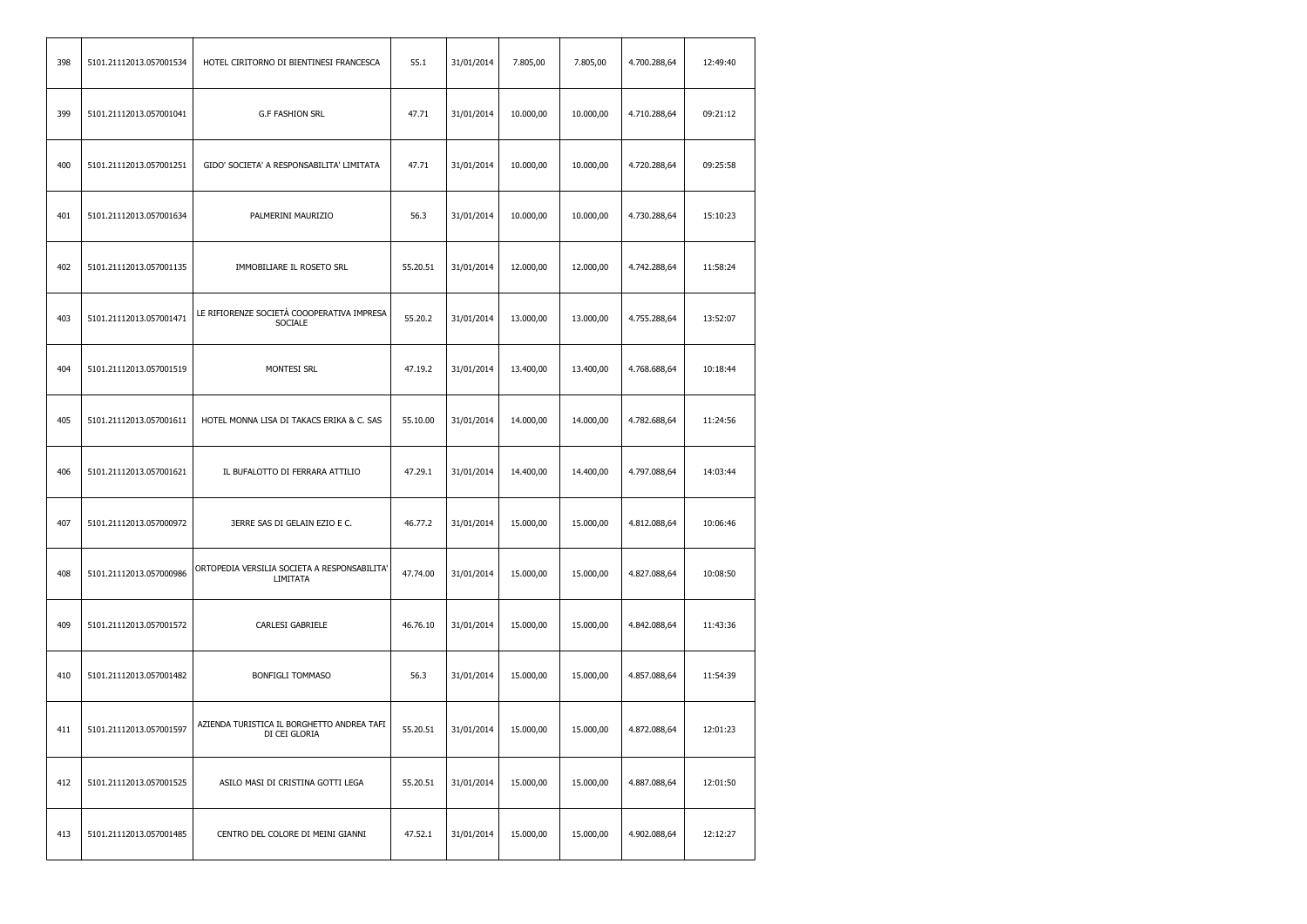| 398 | 5101.21112013.057001534 | HOTEL CIRITORNO DI BIENTINESI FRANCESCA                     | 55.1     | 31/01/2014 | 7.805,00  | 7.805,00  | 4.700.288,64 | 12:49:40 |
|-----|-------------------------|-------------------------------------------------------------|----------|------------|-----------|-----------|--------------|----------|
| 399 | 5101.21112013.057001041 | <b>G.F FASHION SRL</b>                                      | 47.71    | 31/01/2014 | 10.000,00 | 10.000,00 | 4.710.288,64 | 09:21:12 |
| 400 | 5101.21112013.057001251 | GIDO' SOCIETA' A RESPONSABILITA' LIMITATA                   | 47.71    | 31/01/2014 | 10.000,00 | 10.000,00 | 4.720.288,64 | 09:25:58 |
| 401 | 5101.21112013.057001634 | PALMERINI MAURIZIO                                          | 56.3     | 31/01/2014 | 10.000,00 | 10.000,00 | 4.730.288,64 | 15:10:23 |
| 402 | 5101.21112013.057001135 | IMMOBILIARE IL ROSETO SRL                                   | 55.20.51 | 31/01/2014 | 12.000,00 | 12.000,00 | 4.742.288,64 | 11:58:24 |
| 403 | 5101.21112013.057001471 | LE RIFIORENZE SOCIETÀ COOOPERATIVA IMPRESA<br>SOCIALE       | 55.20.2  | 31/01/2014 | 13.000,00 | 13.000,00 | 4.755.288,64 | 13:52:07 |
| 404 | 5101.21112013.057001519 | MONTESI SRL                                                 | 47.19.2  | 31/01/2014 | 13.400,00 | 13.400,00 | 4.768.688,64 | 10:18:44 |
| 405 | 5101.21112013.057001611 | HOTEL MONNA LISA DI TAKACS ERIKA & C. SAS                   | 55.10.00 | 31/01/2014 | 14.000,00 | 14.000,00 | 4.782.688,64 | 11:24:56 |
| 406 | 5101.21112013.057001621 | IL BUFALOTTO DI FERRARA ATTILIO                             | 47.29.1  | 31/01/2014 | 14.400,00 | 14.400,00 | 4.797.088,64 | 14:03:44 |
| 407 | 5101.21112013.057000972 | 3ERRE SAS DI GELAIN EZIO E C.                               | 46.77.2  | 31/01/2014 | 15.000,00 | 15.000,00 | 4.812.088,64 | 10:06:46 |
| 408 | 5101.21112013.057000986 | ORTOPEDIA VERSILIA SOCIETA A RESPONSABILITA'<br>LIMITATA    | 47.74.00 | 31/01/2014 | 15.000,00 | 15.000,00 | 4.827.088,64 | 10:08:50 |
| 409 | 5101.21112013.057001572 | CARLESI GABRIELE                                            | 46.76.10 | 31/01/2014 | 15.000,00 | 15.000,00 | 4.842.088,64 | 11:43:36 |
| 410 | 5101.21112013.057001482 | <b>BONFIGLI TOMMASO</b>                                     | 56.3     | 31/01/2014 | 15.000,00 | 15.000,00 | 4.857.088,64 | 11:54:39 |
| 411 | 5101.21112013.057001597 | AZIENDA TURISTICA IL BORGHETTO ANDREA TAFI<br>DI CEI GLORIA | 55.20.51 | 31/01/2014 | 15.000,00 | 15.000,00 | 4.872.088,64 | 12:01:23 |
| 412 | 5101.21112013.057001525 | ASILO MASI DI CRISTINA GOTTI LEGA                           | 55.20.51 | 31/01/2014 | 15.000,00 | 15.000,00 | 4.887.088,64 | 12:01:50 |
| 413 | 5101.21112013.057001485 | CENTRO DEL COLORE DI MEINI GIANNI                           | 47.52.1  | 31/01/2014 | 15.000,00 | 15.000,00 | 4.902.088,64 | 12:12:27 |